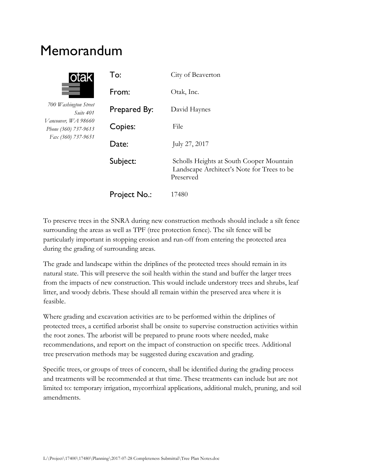# Memorandum



*700 Washington Street Suite 401 Vancouver, WA 98660 Phone (360) 737-9613 Fax (360) 737-9651*

| To:          | City of Beaverton                                                                                   |
|--------------|-----------------------------------------------------------------------------------------------------|
| From:        | Otak, Inc.                                                                                          |
| Prepared By: | David Haynes                                                                                        |
| Copies:      | File                                                                                                |
| Date:        | July 27, 2017                                                                                       |
| Subject:     | Scholls Heights at South Cooper Mountain<br>Landscape Architect's Note for Trees to be<br>Preserved |
| Project No.: | 17480                                                                                               |

To preserve trees in the SNRA during new construction methods should include a silt fence surrounding the areas as well as TPF (tree protection fence). The silt fence will be particularly important in stopping erosion and run-off from entering the protected area during the grading of surrounding areas.

The grade and landscape within the driplines of the protected trees should remain in its natural state. This will preserve the soil health within the stand and buffer the larger trees from the impacts of new construction. This would include understory trees and shrubs, leaf litter, and woody debris. These should all remain within the preserved area where it is feasible.

Where grading and excavation activities are to be performed within the driplines of protected trees, a certified arborist shall be onsite to supervise construction activities within the root zones. The arborist will be prepared to prune roots where needed, make recommendations, and report on the impact of construction on specific trees. Additional tree preservation methods may be suggested during excavation and grading.

Specific trees, or groups of trees of concern, shall be identified during the grading process and treatments will be recommended at that time. These treatments can include but are not limited to: temporary irrigation, mycorrhizal applications, additional mulch, pruning, and soil amendments.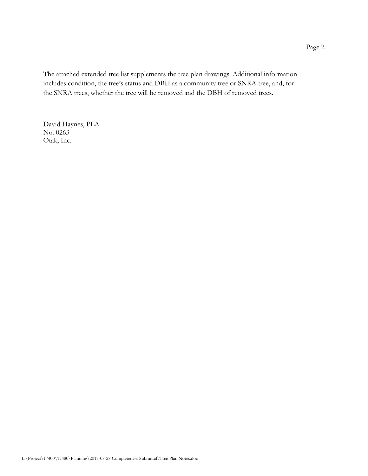The attached extended tree list supplements the tree plan drawings. Additional information includes condition, the tree's status and DBH as a community tree or SNRA tree, and, for the SNRA trees, whether the tree will be removed and the DBH of removed trees.

David Haynes, PLA No. 0263 Otak, Inc.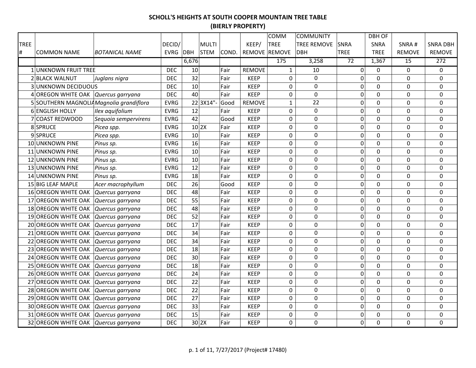|             |                                          |                       |             |             |       |               | COMM          | <b>COMMUNITY</b>   |                  | <b>DBH OF</b>  |                 |                 |
|-------------|------------------------------------------|-----------------------|-------------|-------------|-------|---------------|---------------|--------------------|------------------|----------------|-----------------|-----------------|
| <b>TREE</b> |                                          |                       | DECID/      | MULTI       |       | KEEP/         | <b>TREE</b>   | <b>TREE REMOVE</b> | SNRA             | <b>SNRA</b>    | SNRA#           | <b>SNRA DBH</b> |
| #           | <b>COMMON NAME</b>                       | <b>BOTANICAL NAME</b> | EVRG DBH    | <b>STEM</b> | COND. |               | REMOVE REMOVE | <b>DBH</b>         | <b>TREE</b>      | <b>TREE</b>    | <b>REMOVE</b>   | <b>REMOVE</b>   |
|             |                                          |                       |             | 6,676       |       |               | 175           | 3,258              | 72               | 1,367          | $\overline{15}$ | 272             |
|             | 1 UNKNOWN FRUIT TREE                     |                       | <b>DEC</b>  | 10          | Fair  | <b>REMOVE</b> | $\mathbf{1}$  | 10                 | 0                | 0              | 0               | 0               |
|             | 2 BLACK WALNUT                           | Juglans nigra         | <b>DEC</b>  | 32          | Fair  | <b>KEEP</b>   | $\mathbf 0$   | $\mathbf 0$        | $\mathbf 0$      | $\mathbf 0$    | $\mathbf 0$     | 0               |
|             | <b>3 UNKNOWN DECIDUOUS</b>               |                       | <b>DEC</b>  | 10          | Fair  | <b>KEEP</b>   | $\mathbf 0$   | $\mathbf 0$        | $\mathbf 0$      | $\overline{0}$ | 0               | 0               |
|             | 4 OREGON WHITE OAK Quercus garryana      |                       | <b>DEC</b>  | 40          | Fair  | <b>KEEP</b>   | 0             | $\Omega$           | $\pmb{0}$        | $\Omega$       | $\Omega$        | $\Omega$        |
|             | 5 SOUTHERN MAGNOLIA Magnolia grandiflora |                       | <b>EVRG</b> | 22 3X14"-   | Good  | <b>REMOVE</b> | $\mathbf{1}$  | 22                 | 0                | 0              | 0               | 0               |
|             | 6 ENGLISH HOLLY                          | Ilex aquifolium       | <b>EVRG</b> | 12          | Fair  | <b>KEEP</b>   | $\pmb{0}$     | $\mathbf 0$        | $\mathbf 0$      | $\overline{0}$ | 0               | 0               |
|             | 7 COAST REDWOOD                          | Sequoia sempervirens  | <b>EVRG</b> | 42          | Good  | <b>KEEP</b>   | $\pmb{0}$     | $\mathbf 0$        | $\overline{0}$   | $\mathbf 0$    | 0               | $\mathbf 0$     |
|             | 8 SPRUCE                                 | Picea spp.            | <b>EVRG</b> | $10$  2X    | Fair  | <b>KEEP</b>   | 0             | $\mathbf 0$        | $\pmb{0}$        | $\mathbf 0$    | 0               | 0               |
|             | 9SPRUCE                                  | Picea spp.            | <b>EVRG</b> | 10          | Fair  | <b>KEEP</b>   | 0             | $\boldsymbol{0}$   | $\pmb{0}$        | $\mathbf 0$    | 0               | 0               |
|             | 10 UNKNOWN PINE                          | Pinus sp.             | <b>EVRG</b> | 16          | Fair  | <b>KEEP</b>   | 0             | $\boldsymbol{0}$   | $\mathbf 0$      | $\mathbf 0$    | 0               | $\mathbf 0$     |
|             | 11 UNKNOWN PINE                          | Pinus sp.             | <b>EVRG</b> | 10          | Fair  | <b>KEEP</b>   | 0             | $\mathbf 0$        | $\mathbf 0$      | $\mathbf 0$    | 0               | $\mathbf 0$     |
|             | 12 UNKNOWN PINE                          | Pinus sp.             | <b>EVRG</b> | 10          | Fair  | <b>KEEP</b>   | 0             | 0                  | $\mathbf 0$      | $\mathbf 0$    | 0               | 0               |
|             | 13 UNKNOWN PINE                          | Pinus sp.             | <b>EVRG</b> | 12          | Fair  | <b>KEEP</b>   | 0             | 0                  | $\mathbf 0$      | 0              | 0               | 0               |
|             | 14 UNKNOWN PINE                          | Pinus sp.             | <b>EVRG</b> | 18          | Fair  | <b>KEEP</b>   | 0             | 0                  | $\mathbf 0$      | $\mathbf 0$    | 0               | 0               |
|             | 15 BIG LEAF MAPLE                        | Acer macrophyllum     | <b>DEC</b>  | 26          | Good  | <b>KEEP</b>   | 0             | $\mathbf 0$        | $\mathbf 0$      | $\mathbf 0$    | 0               | $\mathbf 0$     |
|             | 16 OREGON WHITE OAK                      | Quercus garryana      | <b>DEC</b>  | 48          | Fair  | <b>KEEP</b>   | 0             | $\mathbf 0$        | $\mathbf 0$      | $\overline{0}$ | 0               | $\mathbf 0$     |
|             | 17 OREGON WHITE OAK                      | Quercus garryana      | <b>DEC</b>  | 55          | Fair  | <b>KEEP</b>   | 0             | 0                  | $\pmb{0}$        | $\mathbf 0$    | 0               | 0               |
|             | 18 OREGON WHITE OAK                      | Quercus garryana      | <b>DEC</b>  | 48          | Fair  | <b>KEEP</b>   | 0             | $\mathbf 0$        | $\pmb{0}$        | 0              | 0               | 0               |
|             | 19 OREGON WHITE OAK                      | Quercus garryana      | <b>DEC</b>  | 52          | Fair  | <b>KEEP</b>   | $\mathbf 0$   | $\mathbf 0$        | $\boldsymbol{0}$ | $\overline{0}$ | $\mathbf 0$     | 0               |
|             | 20 OREGON WHITE OAK Quercus garryana     |                       | <b>DEC</b>  | 17          | Fair  | <b>KEEP</b>   | $\mathbf 0$   | $\mathbf 0$        | 0                | $\overline{0}$ | 0               | $\mathbf 0$     |
|             | 21 OREGON WHITE OAK Quercus garryana     |                       | <b>DEC</b>  | 34          | Fair  | <b>KEEP</b>   | $\pmb{0}$     | $\boldsymbol{0}$   | 0                | $\mathbf 0$    | 0               | $\mathbf 0$     |
|             | 22 OREGON WHITE OAK Quercus garryana     |                       | <b>DEC</b>  | 34          | Fair  | <b>KEEP</b>   | $\pmb{0}$     | $\mathbf 0$        | 0                | $\mathbf 0$    | 0               | $\mathbf 0$     |
|             | 23 OREGON WHITE OAK Quercus garryana     |                       | <b>DEC</b>  | 18          | Fair  | <b>KEEP</b>   | $\mathbf 0$   | $\mathbf 0$        | $\boldsymbol{0}$ | $\mathbf 0$    | $\mathbf 0$     | $\mathbf 0$     |
|             | 24 OREGON WHITE OAK                      | Quercus garryana      | <b>DEC</b>  | 30          | Fair  | <b>KEEP</b>   | $\pmb{0}$     | $\mathbf 0$        | $\mathbf 0$      | $\mathbf 0$    | $\mathbf 0$     | $\mathbf 0$     |
|             | 25 OREGON WHITE OAK                      | Quercus garryana      | <b>DEC</b>  | 18          | Fair  | <b>KEEP</b>   | $\pmb{0}$     | $\boldsymbol{0}$   | $\pmb{0}$        | $\overline{0}$ | 0               | $\pmb{0}$       |
|             | 26 OREGON WHITE OAK                      | Quercus garryana      | <b>DEC</b>  | 24          | Fair  | <b>KEEP</b>   | 0             | $\boldsymbol{0}$   | $\pmb{0}$        | $\mathbf 0$    | 0               | 0               |
|             | 27 OREGON WHITE OAK                      | Quercus garryana      | <b>DEC</b>  | 22          | Fair  | <b>KEEP</b>   | 0             | $\boldsymbol{0}$   | $\mathbf 0$      | $\mathbf 0$    | 0               | $\pmb{0}$       |
|             | 28 OREGON WHITE OAK                      | Quercus garryana      | <b>DEC</b>  | 22          | Fair  | <b>KEEP</b>   | $\mathbf 0$   | $\mathbf 0$        | $\mathbf 0$      | $\mathbf 0$    | 0               | $\mathbf 0$     |
|             | 29 OREGON WHITE OAK                      | Quercus garryana      | <b>DEC</b>  | 27          | Fair  | <b>KEEP</b>   | 0             | 0                  | $\mathbf 0$      | $\Omega$       | 0               | 0               |
|             | 30 OREGON WHITE OAK                      | Quercus garryana      | <b>DEC</b>  | 33          | Fair  | <b>KEEP</b>   | 0             | 0                  | $\mathbf 0$      | 0              | 0               | 0               |
|             | 31 OREGON WHITE OAK                      | Quercus garryana      | <b>DEC</b>  | 15          | Fair  | <b>KEEP</b>   | 0             | 0                  | $\mathbf 0$      | 0              | 0               | 0               |
|             | 32 OREGON WHITE OAK   Quercus garryana   |                       | <b>DEC</b>  | 30 2X       | Fair  | <b>KEEP</b>   | $\mathbf 0$   | $\mathbf 0$        | 0                | 0              | $\Omega$        | 0               |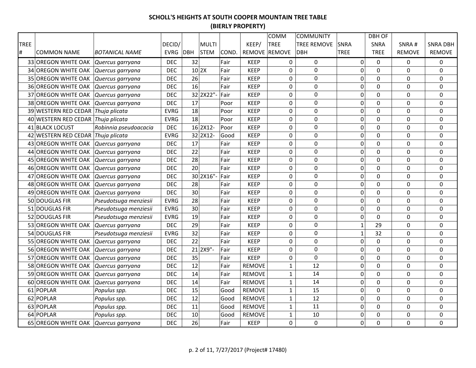|      |                                      |                       |             |              |       |               | COMM          | <b>COMMUNITY</b>   |                  | <b>DBH OF</b>  |                  |                 |
|------|--------------------------------------|-----------------------|-------------|--------------|-------|---------------|---------------|--------------------|------------------|----------------|------------------|-----------------|
| TREE |                                      |                       | DECID/      | <b>MULTI</b> |       | KEEP/         | <b>TREE</b>   | <b>TREE REMOVE</b> | <b>SNRA</b>      | SNRA           | SNRA#            | <b>SNRA DBH</b> |
| #    | <b>COMMON NAME</b>                   | <b>BOTANICAL NAME</b> | EVRG DBH    | <b>STEM</b>  | COND. |               | REMOVE REMOVE | <b>DBH</b>         | <b>TREE</b>      | <b>TREE</b>    | <b>REMOVE</b>    | <b>REMOVE</b>   |
|      | 33 OREGON WHITE OAK                  | Quercus garryana      | <b>DEC</b>  | 32           | Fair  | <b>KEEP</b>   | 0             | $\mathbf 0$        | $\overline{0}$   | $\Omega$       | $\Omega$         | 0               |
|      | 34 OREGON WHITE OAK Quercus garryana |                       | <b>DEC</b>  | $10$ 2X      | Fair  | <b>KEEP</b>   | 0             | $\mathbf 0$        | $\pmb{0}$        | 0              | 0                | 0               |
|      | 35 OREGON WHITE OAK Quercus garryana |                       | <b>DEC</b>  | 26           | Fair  | <b>KEEP</b>   | $\pmb{0}$     | $\mathbf 0$        | $\boldsymbol{0}$ | $\overline{0}$ | 0                | 0               |
|      | 36 OREGON WHITE OAK Quercus garryana |                       | <b>DEC</b>  | 16           | Fair  | <b>KEEP</b>   | $\mathbf 0$   | $\mathbf 0$        | 0                | $\overline{0}$ | 0                | 0               |
|      | 37 OREGON WHITE OAK                  | Quercus garryana      | <b>DEC</b>  | 32 2X22"-    | Fair  | <b>KEEP</b>   | 0             | $\Omega$           | 0                | $\mathbf 0$    | $\Omega$         | 0               |
|      | 38 OREGON WHITE OAK Quercus garryana |                       | <b>DEC</b>  | 17           | Poor  | <b>KEEP</b>   | 0             | 0                  | 0                | 0              | 0                | 0               |
|      | 39 WESTERN RED CEDAR Thuja plicata   |                       | <b>EVRG</b> | 18           | Poor  | <b>KEEP</b>   | $\pmb{0}$     | $\mathbf 0$        | $\boldsymbol{0}$ | 0              | 0                | 0               |
|      | 40 WESTERN RED CEDAR Thuja plicata   |                       | <b>EVRG</b> | 18           | Poor  | <b>KEEP</b>   | 0             | $\mathbf 0$        | $\pmb{0}$        | 0              | 0                | 0               |
|      | 41 BLACK LOCUST                      | Robinnia pseudoacacia | <b>DEC</b>  | 16 2X12-     | Poor  | <b>KEEP</b>   | $\pmb{0}$     | $\mathbf 0$        | $\mathbf 0$      | $\mathbf 0$    | 0                | $\mathbf 0$     |
|      | 42 WESTERN RED CEDAR Thuja plicata   |                       | <b>EVRG</b> | 32 2X12-     | Good  | <b>KEEP</b>   | 0             | $\mathbf 0$        | 0                | $\overline{0}$ | 0                | 0               |
|      | 43 OREGON WHITE OAK                  | Quercus garryana      | <b>DEC</b>  | 17           | Fair  | <b>KEEP</b>   | $\pmb{0}$     | $\mathbf 0$        | $\boldsymbol{0}$ | 0              | $\boldsymbol{0}$ | $\pmb{0}$       |
|      | 44 OREGON WHITE OAK                  | Quercus garryana      | <b>DEC</b>  | 22           | Fair  | <b>KEEP</b>   | 0             | $\mathbf 0$        | $\mathbf 0$      | $\mathbf 0$    | 0                | 0               |
|      | 45 OREGON WHITE OAK                  | Quercus garryana      | <b>DEC</b>  | 28           | Fair  | <b>KEEP</b>   | $\mathbf 0$   | $\mathbf 0$        | $\mathbf 0$      | $\mathbf 0$    | 0                | $\mathbf 0$     |
|      | 46 OREGON WHITE OAK                  | Quercus garryana      | <b>DEC</b>  | 20           | Fair  | <b>KEEP</b>   | $\mathbf 0$   | $\mathbf 0$        | 0                | 0              | 0                | 0               |
|      | 47 OREGON WHITE OAK                  | Quercus garryana      | <b>DEC</b>  | 30 2X16"-    | Fair  | <b>KEEP</b>   | 0             | 0                  | 0                | 0              | 0                | 0               |
|      | 48 OREGON WHITE OAK                  | Quercus garryana      | <b>DEC</b>  | 28           | Fair  | <b>KEEP</b>   | 0             | $\boldsymbol{0}$   | 0                | 0              | 0                | 0               |
|      | 49 OREGON WHITE OAK                  | Quercus garryana      | <b>DEC</b>  | 30           | Fair  | <b>KEEP</b>   | 0             | $\mathbf 0$        | 0                | 0              | 0                | 0               |
|      | 50 DOUGLAS FIR                       | Pseudotsuga menziesii | <b>EVRG</b> | 28           | Fair  | <b>KEEP</b>   | 0             | $\mathbf 0$        | 0                | 0              | 0                | 0               |
|      | 51 DOUGLAS FIR                       | Pseudotsuga menziesii | <b>EVRG</b> | 30           | Fair  | <b>KEEP</b>   | $\mathbf 0$   | $\mathbf 0$        | 0                | $\overline{0}$ | $\mathbf 0$      | 0               |
|      | 52 DOUGLAS FIR                       | Pseudotsuga menziesii | <b>EVRG</b> | 19           | Fair  | <b>KEEP</b>   | $\pmb{0}$     | $\mathbf 0$        | $\pmb{0}$        | $\mathbf 0$    | $\boldsymbol{0}$ | 0               |
|      | 53 OREGON WHITE OAK Quercus garryana |                       | <b>DEC</b>  | 29           | Fair  | <b>KEEP</b>   | $\pmb{0}$     | $\mathbf 0$        | $\mathbf{1}$     | 29             | 0                | 0               |
|      | 54 DOUGLAS FIR                       | Pseudotsuga menziesii | <b>EVRG</b> | 32           | Fair  | <b>KEEP</b>   | $\mathbf 0$   | $\mathbf 0$        | $\mathbf{1}$     | 32             | $\mathbf 0$      | 0               |
|      | 55 OREGON WHITE OAK                  | Quercus garryana      | <b>DEC</b>  | 22           | Fair  | <b>KEEP</b>   | $\mathbf 0$   | $\mathbf 0$        | $\boldsymbol{0}$ | $\mathbf 0$    | $\mathbf 0$      | $\mathbf 0$     |
|      | 56 OREGON WHITE OAK                  | Quercus garryana      | <b>DEC</b>  | 21 2X9"-     | Fair  | <b>KEEP</b>   | 0             | $\mathbf 0$        | $\mathbf 0$      | $\mathbf 0$    | 0                | 0               |
|      | 57 OREGON WHITE OAK                  | Quercus garryana      | <b>DEC</b>  | 35           | Fair  | <b>KEEP</b>   | 0             | $\boldsymbol{0}$   | $\boldsymbol{0}$ | 0              | 0                | $\pmb{0}$       |
|      | 58 OREGON WHITE OAK                  | Quercus garryana      | <b>DEC</b>  | 12           | Fair  | <b>REMOVE</b> | $\mathbf{1}$  | 12                 | $\pmb{0}$        | $\overline{0}$ | 0                | $\pmb{0}$       |
|      | 59 OREGON WHITE OAK                  | Quercus garryana      | <b>DEC</b>  | 14           | Fair  | <b>REMOVE</b> | $\mathbf{1}$  | 14                 | $\mathbf 0$      | 0              | 0                | $\mathbf 0$     |
|      | 60 OREGON WHITE OAK                  | Quercus garryana      | <b>DEC</b>  | 14           | Fair  | <b>REMOVE</b> | $\mathbf{1}$  | 14                 | $\mathbf 0$      | $\mathbf 0$    | 0                | $\mathbf 0$     |
|      | 61 POPLAR                            | Populus spp.          | <b>DEC</b>  | 15           | Good  | <b>REMOVE</b> | $\mathbf{1}$  | 15                 | $\mathbf 0$      | $\Omega$       | 0                | 0               |
|      | 62 POPLAR                            | Populus spp.          | <b>DEC</b>  | 12           | Good  | <b>REMOVE</b> | $\mathbf{1}$  | 12                 | 0                | $\mathbf 0$    | 0                | 0               |
|      | 63 POPLAR                            | Populus spp.          | <b>DEC</b>  | 11           | Good  | <b>REMOVE</b> | $\mathbf{1}$  | 11                 | 0                | 0              | 0                | 0               |
|      | 64 POPLAR                            | Populus spp.          | <b>DEC</b>  | 10           | Good  | <b>REMOVE</b> | $\mathbf{1}$  | 10                 | 0                | 0              | 0                | $\mathbf 0$     |
|      | 65 OREGON WHITE OAK                  | Quercus garryana      | <b>DEC</b>  | 26           | Fair  | <b>KEEP</b>   | $\mathbf 0$   | $\mathbf 0$        | 0                | $\overline{0}$ | $\mathbf 0$      | 0               |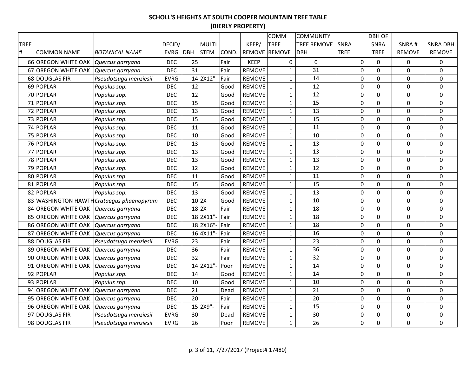|             |                                      |                                           |             |              |       |               | COMM          | <b>COMMUNITY</b>   |                  | <b>DBH OF</b>  |                  |                 |
|-------------|--------------------------------------|-------------------------------------------|-------------|--------------|-------|---------------|---------------|--------------------|------------------|----------------|------------------|-----------------|
| <b>TREE</b> |                                      |                                           | DECID/      | <b>MULTI</b> |       | KEEP/         | <b>TREE</b>   | <b>TREE REMOVE</b> | <b>SNRA</b>      | SNRA           | SNRA#            | <b>SNRA DBH</b> |
| #           | <b>COMMON NAME</b>                   | <b>BOTANICAL NAME</b>                     | EVRG DBH    | <b>STEM</b>  | COND. |               | REMOVE REMOVE | <b>DBH</b>         | <b>TREE</b>      | <b>TREE</b>    | <b>REMOVE</b>    | <b>REMOVE</b>   |
|             | 66 OREGON WHITE OAK                  | Quercus garryana                          | <b>DEC</b>  | 25           | Fair  | <b>KEEP</b>   | 0             | $\pmb{0}$          | $\mathbf 0$      | $\Omega$       | $\Omega$         | 0               |
|             | 67 OREGON WHITE OAK                  | Quercus garryana                          | <b>DEC</b>  | 31           | Fair  | <b>REMOVE</b> | $\mathbf{1}$  | 31                 | $\mathbf 0$      | $\mathbf 0$    | 0                | 0               |
|             | 68 DOUGLAS FIR                       | Pseudotsuga menziesii                     | <b>EVRG</b> | 14 2X12"-    | Fair  | <b>REMOVE</b> | $1\,$         | 14                 | $\pmb{0}$        | $\mathbf 0$    | 0                | $\mathbf 0$     |
|             | 69 POPLAR                            | Populus spp.                              | <b>DEC</b>  | 12           | Good  | <b>REMOVE</b> | $1\,$         | 12                 | $\mathbf 0$      | $\overline{0}$ | 0                | 0               |
|             | 70 POPLAR                            | Populus spp.                              | <b>DEC</b>  | 12           | Good  | <b>REMOVE</b> | $\mathbf 1$   | 12                 | $\boldsymbol{0}$ | $\Omega$       | 0                | 0               |
|             | 71 POPLAR                            | Populus spp.                              | <b>DEC</b>  | 15           | Good  | <b>REMOVE</b> | $\mathbf{1}$  | 15                 | 0                | $\mathbf 0$    | 0                | 0               |
|             | 72 POPLAR                            | Populus spp.                              | <b>DEC</b>  | 13           | Good  | <b>REMOVE</b> | $\mathbf{1}$  | 13                 | $\pmb{0}$        | $\mathbf 0$    | 0                | 0               |
|             | 73 POPLAR                            | Populus spp.                              | <b>DEC</b>  | 15           | Good  | <b>REMOVE</b> | $\mathbf 1$   | 15                 | $\mathbf 0$      | $\overline{0}$ | $\Omega$         | 0               |
|             | 74 POPLAR                            | Populus spp.                              | <b>DEC</b>  | 11           | Good  | <b>REMOVE</b> | $\mathbf 1$   | 11                 | $\boldsymbol{0}$ | $\mathbf 0$    | 0                | 0               |
|             | 75 POPLAR                            | Populus spp.                              | <b>DEC</b>  | 10           | Good  | <b>REMOVE</b> | $\mathbf{1}$  | 10                 | $\pmb{0}$        | $\mathbf 0$    | 0                | $\mathbf 0$     |
|             | 76 POPLAR                            | Populus spp.                              | <b>DEC</b>  | 13           | Good  | <b>REMOVE</b> | $\mathbf{1}$  | 13                 | $\mathbf 0$      | $\mathbf 0$    | 0                | $\mathbf 0$     |
|             | 77 POPLAR                            | Populus spp.                              | <b>DEC</b>  | 13           | Good  | <b>REMOVE</b> | $1\,$         | 13                 | $\mathbf 0$      | $\mathbf 0$    | 0                | 0               |
|             | 78 POPLAR                            | Populus spp.                              | <b>DEC</b>  | 13           | Good  | <b>REMOVE</b> | $\mathbf 1$   | 13                 | $\boldsymbol{0}$ | $\mathbf 0$    | 0                | $\pmb{0}$       |
|             | 79 POPLAR                            | Populus spp.                              | <b>DEC</b>  | 12           | Good  | <b>REMOVE</b> | $\mathbf{1}$  | 12                 | $\boldsymbol{0}$ | $\mathbf 0$    | 0                | 0               |
|             | 80 POPLAR                            | Populus spp.                              | <b>DEC</b>  | 11           | Good  | <b>REMOVE</b> | $\mathbf{1}$  | 11                 | $\mathbf 0$      | $\mathbf 0$    | 0                | $\mathbf 0$     |
|             | 81 POPLAR                            | Populus spp.                              | <b>DEC</b>  | 15           | Good  | <b>REMOVE</b> | $\mathbf{1}$  | 15                 | $\pmb{0}$        | $\Omega$       | 0                | 0               |
|             | 82 POPLAR                            | Populus spp.                              | <b>DEC</b>  | 13           | Good  | <b>REMOVE</b> | $1\,$         | 13                 | $\boldsymbol{0}$ | $\mathbf 0$    | 0                | 0               |
|             |                                      | 83 WASHINGTON HAWTH Crataegus phaenopyrum | <b>DEC</b>  | $10$ 2X      | Good  | <b>REMOVE</b> | $\mathbf{1}$  | 10                 | $\boldsymbol{0}$ | $\mathbf 0$    | 0                | $\mathbf 0$     |
|             | 84 OREGON WHITE OAK                  | Quercus garryana                          | <b>DEC</b>  | $18$  2X     | Fair  | <b>REMOVE</b> | $\mathbf{1}$  | 18                 | $\boldsymbol{0}$ | 0              | $\mathbf 0$      | $\mathbf 0$     |
|             | 85 OREGON WHITE OAK                  | Quercus garryana                          | <b>DEC</b>  | 18 2X11"-    | Fair  | <b>REMOVE</b> | $1\,$         | 18                 | $\pmb{0}$        | $\mathbf 0$    | $\Omega$         | 0               |
|             | 86 OREGON WHITE OAK                  | Quercus garryana                          | <b>DEC</b>  | 18 2X16"-    | Fair  | <b>REMOVE</b> | $1\,$         | 18                 | $\boldsymbol{0}$ | $\mathbf 0$    | $\boldsymbol{0}$ | 0               |
|             | 87 OREGON WHITE OAK Quercus garryana |                                           | <b>DEC</b>  | 16 4X11"-    | Fair  | <b>REMOVE</b> | $\mathbf{1}$  | 16                 | $\boldsymbol{0}$ | $\overline{0}$ | $\mathbf 0$      | 0               |
|             | 88 DOUGLAS FIR                       | Pseudotsuga menziesii                     | <b>EVRG</b> | 23           | Fair  | <b>REMOVE</b> | $\mathbf{1}$  | 23                 | 0                | $\overline{0}$ | 0                | $\mathbf 0$     |
|             | 89 OREGON WHITE OAK                  | Quercus garryana                          | <b>DEC</b>  | 36           | Fair  | <b>REMOVE</b> | $\mathbf 1$   | 36                 | $\boldsymbol{0}$ | $\mathbf 0$    | 0                | 0               |
|             | 90 OREGON WHITE OAK Quercus garryana |                                           | <b>DEC</b>  | 32           | Fair  | <b>REMOVE</b> | $\mathbf 1$   | 32                 | 0                | $\mathbf 0$    | 0                | 0               |
|             | 91 OREGON WHITE OAK                  | Quercus garryana                          | <b>DEC</b>  | 14 2X12"-    | Poor  | <b>REMOVE</b> | $\mathbf 1$   | 14                 | $\boldsymbol{0}$ | $\mathbf 0$    | $\mathbf 0$      | $\mathbf 0$     |
|             | 92 POPLAR                            | Populus spp.                              | <b>DEC</b>  | 14           | Good  | <b>REMOVE</b> | $\mathbf 1$   | 14                 | $\mathbf 0$      | $\mathbf 0$    | 0                | 0               |
|             | 93 POPLAR                            | Populus spp.                              | <b>DEC</b>  | 10           | Good  | <b>REMOVE</b> | $\mathbf{1}$  | 10                 | $\boldsymbol{0}$ | $\mathbf 0$    | 0                | $\pmb{0}$       |
|             | 94 OREGON WHITE OAK                  | Quercus garryana                          | <b>DEC</b>  | 21           | Dead  | <b>REMOVE</b> | $\mathbf{1}$  | 21                 | $\boldsymbol{0}$ | $\mathbf 0$    | 0                | $\pmb{0}$       |
|             | 95 OREGON WHITE OAK                  | Quercus garryana                          | <b>DEC</b>  | 20           | Fair  | <b>REMOVE</b> | $\mathbf{1}$  | 20                 | $\mathbf 0$      | $\mathbf 0$    | 0                | $\mathbf 0$     |
|             | 96 OREGON WHITE OAK                  | Quercus garryana                          | <b>DEC</b>  | 15 2X9"-     | Fair  | <b>REMOVE</b> | $\mathbf 1$   | 15                 | $\mathbf 0$      | $\mathbf 0$    | 0                | 0               |
|             | 97 DOUGLAS FIR                       | Pseudotsuga menziesii                     | <b>EVRG</b> | 30           | Dead  | <b>REMOVE</b> | $1\,$         | 30                 | $\boldsymbol{0}$ | 0              | 0                | 0               |
|             | 98 DOUGLAS FIR                       | Pseudotsuga menziesii                     | <b>EVRG</b> | 26           | Poor  | <b>REMOVE</b> | $\mathbf{1}$  | 26                 | 0                | 0              | 0                | $\mathbf 0$     |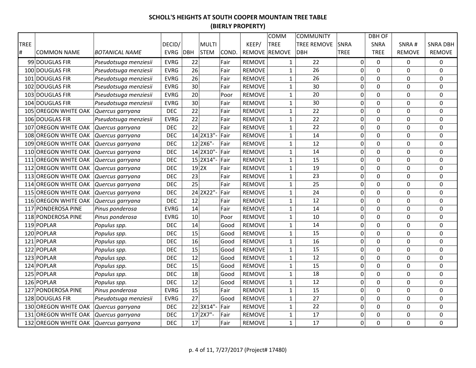|      |                      |                       |             |               |       |               | COMM          | <b>COMMUNITY</b>   |                  | <b>DBH OF</b>  |                  |                 |
|------|----------------------|-----------------------|-------------|---------------|-------|---------------|---------------|--------------------|------------------|----------------|------------------|-----------------|
| TREE |                      |                       | DECID/      | <b>MULTI</b>  |       | KEEP/         | <b>TREE</b>   | <b>TREE REMOVE</b> | <b>SNRA</b>      | SNRA           | SNRA#            | <b>SNRA DBH</b> |
| #    | <b>COMMON NAME</b>   | <b>BOTANICAL NAME</b> | EVRG DBH    | <b>STEM</b>   | COND. |               | REMOVE REMOVE | <b>DBH</b>         | <b>TREE</b>      | <b>TREE</b>    | <b>REMOVE</b>    | REMOVE          |
|      | 99 DOUGLAS FIR       | Pseudotsuga menziesii | <b>EVRG</b> | 22            | Fair  | <b>REMOVE</b> | $\mathbf{1}$  | 22                 | $\overline{0}$   | $\Omega$       | 0                | 0               |
|      | 100 DOUGLAS FIR      | Pseudotsuga menziesii | <b>EVRG</b> | 26            | Fair  | <b>REMOVE</b> | $\mathbf{1}$  | 26                 | $\pmb{0}$        | 0              | 0                | 0               |
|      | 101 DOUGLAS FIR      | Pseudotsuga menziesii | <b>EVRG</b> | 26            | Fair  | <b>REMOVE</b> | $\mathbf{1}$  | 26                 | $\boldsymbol{0}$ | $\overline{0}$ | 0                | 0               |
|      | 102 DOUGLAS FIR      | Pseudotsuga menziesii | <b>EVRG</b> | 30            | Fair  | <b>REMOVE</b> | $\mathbf{1}$  | 30                 | 0                | $\overline{0}$ | 0                | 0               |
|      | 103 DOUGLAS FIR      | Pseudotsuga menziesii | <b>EVRG</b> | 20            | Poor  | <b>REMOVE</b> | $\mathbf{1}$  | 20                 | 0                | $\mathbf 0$    | $\Omega$         | 0               |
|      | 104 DOUGLAS FIR      | Pseudotsuga menziesii | <b>EVRG</b> | 30            | Fair  | <b>REMOVE</b> | $1\,$         | 30                 | 0                | 0              | 0                | 0               |
|      | 105 OREGON WHITE OAK | Quercus garryana      | <b>DEC</b>  | 22            | Fair  | <b>REMOVE</b> | $\mathbf{1}$  | 22                 | 0                | 0              | 0                | $\mathbf 0$     |
|      | 106 DOUGLAS FIR      | Pseudotsuga menziesii | <b>EVRG</b> | 22            | Fair  | <b>REMOVE</b> | $\mathbf{1}$  | 22                 | 0                | $\mathbf 0$    | 0                | 0               |
|      | 107 OREGON WHITE OAK | Quercus garryana      | <b>DEC</b>  | 22            | Fair  | <b>REMOVE</b> | $\mathbf{1}$  | 22                 | $\mathbf 0$      | $\mathbf 0$    | 0                | $\mathbf 0$     |
|      | 108 OREGON WHITE OAK | Quercus garryana      | <b>DEC</b>  | 14 2X13"-     | Fair  | <b>REMOVE</b> | $\mathbf{1}$  | 14                 | 0                | $\Omega$       | 0                | 0               |
|      | 109 OREGON WHITE OAK | Quercus garryana      | <b>DEC</b>  | 12 2X6"-      | Fair  | <b>REMOVE</b> | $\mathbf 1$   | 12                 | $\boldsymbol{0}$ | $\mathbf 0$    | 0                | $\pmb{0}$       |
|      | 110 OREGON WHITE OAK | Quercus garryana      | <b>DEC</b>  | 14 2X10"-     | Fair  | <b>REMOVE</b> | $\mathbf{1}$  | 14                 | $\mathbf 0$      | $\mathbf 0$    | 0                | 0               |
|      | 111 OREGON WHITE OAK | Quercus garryana      | <b>DEC</b>  | 15 2X14"-     | Fair  | <b>REMOVE</b> | $\mathbf{1}$  | 15                 | $\overline{0}$   | $\mathbf 0$    | 0                | $\mathbf 0$     |
|      | 112 OREGON WHITE OAK | Quercus garryana      | <b>DEC</b>  | $19$ 2X       | Fair  | <b>REMOVE</b> | $\mathbf{1}$  | 19                 | 0                | 0              | 0                | 0               |
|      | 113 OREGON WHITE OAK | Quercus garryana      | <b>DEC</b>  | 23            | Fair  | <b>REMOVE</b> | $\mathbf{1}$  | 23                 | 0                | $\mathbf 0$    | 0                | $\pmb{0}$       |
|      | 114 OREGON WHITE OAK | Quercus garryana      | <b>DEC</b>  | 25            | Fair  | <b>REMOVE</b> | $1\,$         | 25                 | 0                | 0              | 0                | 0               |
|      | 115 OREGON WHITE OAK | Quercus garryana      | <b>DEC</b>  | 24 2X22"-     | Fair  | <b>REMOVE</b> | $\mathbf{1}$  | 24                 | 0                | 0              | 0                | $\pmb{0}$       |
|      | 116 OREGON WHITE OAK | Quercus garryana      | <b>DEC</b>  | 12            | Fair  | <b>REMOVE</b> | $1\,$         | 12                 | 0                | $\mathbf 0$    | 0                | $\pmb{0}$       |
|      | 117 PONDEROSA PINE   | Pinus ponderosa       | <b>EVRG</b> | 14            | Fair  | <b>REMOVE</b> | $\mathbf 1$   | 14                 | 0                | $\overline{0}$ | $\mathbf 0$      | $\mathbf 0$     |
|      | 118 PONDEROSA PINE   | Pinus ponderosa       | <b>EVRG</b> | 10            | Poor  | <b>REMOVE</b> | $\mathbf 1$   | 10                 | $\pmb{0}$        | $\mathbf 0$    | $\boldsymbol{0}$ | $\pmb{0}$       |
|      | 119 POPLAR           | Populus spp.          | <b>DEC</b>  | 14            | Good  | <b>REMOVE</b> | $\mathbf{1}$  | 14                 | 0                | 0              | $\mathbf 0$      | 0               |
|      | 120 POPLAR           | Populus spp.          | <b>DEC</b>  | 15            | Good  | <b>REMOVE</b> | $\mathbf{1}$  | 15                 | 0                | 0              | $\mathbf 0$      | $\mathbf 0$     |
|      | 121 POPLAR           | Populus spp.          | <b>DEC</b>  | 16            | Good  | <b>REMOVE</b> | $\mathbf{1}$  | 16                 | 0                | $\overline{0}$ | $\mathbf 0$      | $\mathbf 0$     |
|      | 122 POPLAR           | Populus spp.          | <b>DEC</b>  | 15            | Good  | <b>REMOVE</b> | $\mathbf{1}$  | 15                 | $\mathbf 0$      | $\mathbf 0$    | 0                | 0               |
|      | 123 POPLAR           | Populus spp.          | <b>DEC</b>  | 12            | Good  | <b>REMOVE</b> | $1\,$         | 12                 | $\boldsymbol{0}$ | $\overline{0}$ | 0                | $\pmb{0}$       |
|      | 124 POPLAR           | Populus spp.          | <b>DEC</b>  | 15            | Good  | <b>REMOVE</b> | $\mathbf{1}$  | 15                 | $\pmb{0}$        | $\overline{0}$ | 0                | $\pmb{0}$       |
|      | 125 POPLAR           | Populus spp.          | <b>DEC</b>  | 18            | Good  | <b>REMOVE</b> | $\mathbf{1}$  | 18                 | $\mathbf 0$      | 0              | 0                | $\pmb{0}$       |
|      | 126 POPLAR           | Populus spp.          | <b>DEC</b>  | 12            | Good  | <b>REMOVE</b> | $\mathbf{1}$  | 12                 | $\mathbf 0$      | $\mathbf 0$    | 0                | $\mathbf 0$     |
|      | 127 PONDEROSA PINE   | Pinus ponderosa       | <b>EVRG</b> | 15            | Fair  | <b>REMOVE</b> | $\mathbf{1}$  | 15                 | $\mathbf 0$      | $\Omega$       | 0                | 0               |
|      | 128 DOUGLAS FIR      | Pseudotsuga menziesii | <b>EVRG</b> | 27            | Good  | <b>REMOVE</b> | $\mathbf{1}$  | 27                 | 0                | $\mathbf 0$    | 0                | 0               |
|      | 130 OREGON WHITE OAK | Quercus garryana      | <b>DEC</b>  | 22 3X14"-     | Fair  | <b>REMOVE</b> | $\mathbf{1}$  | 22                 | 0                | 0              | 0                | 0               |
|      | 131 OREGON WHITE OAK | Quercus garryana      | <b>DEC</b>  | $17$   2X7" - | Fair  | <b>REMOVE</b> | $\mathbf{1}$  | 17                 | 0                | 0              | 0                | $\pmb{0}$       |
|      | 132 OREGON WHITE OAK | Quercus garryana      | <b>DEC</b>  | 17            | Fair  | <b>REMOVE</b> | $\mathbf{1}$  | 17                 | 0                | $\overline{0}$ | $\mathbf 0$      | 0               |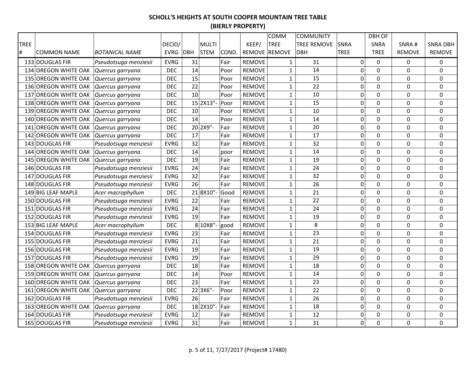|             |                             |                       |             |     |              |       |               | COMM          | <b>COMMUNITY</b>   |             |                  | <b>DBH OF</b>  |               |                 |
|-------------|-----------------------------|-----------------------|-------------|-----|--------------|-------|---------------|---------------|--------------------|-------------|------------------|----------------|---------------|-----------------|
| <b>TREE</b> |                             |                       | DECID/      |     | <b>MULTI</b> |       | KEEP/         | <b>TREE</b>   | <b>TREE REMOVE</b> | <b>SNRA</b> |                  | <b>SNRA</b>    | SNRA#         | <b>SNRA DBH</b> |
| $\#$        | <b>COMMON NAME</b>          | <b>BOTANICAL NAME</b> | <b>EVRG</b> | DBH | <b>STEM</b>  | COND. |               | REMOVE REMOVE | <b>DBH</b>         | <b>TREE</b> |                  | <b>TREE</b>    | <b>REMOVE</b> | <b>REMOVE</b>   |
|             | 133 DOUGLAS FIR             | Pseudotsuga menziesii | <b>EVRG</b> | 31  |              | Fair  | <b>REMOVE</b> | $\mathbf{1}$  | 31                 |             | $\overline{0}$   | 0              | 0             | 0               |
|             | 134 OREGON WHITE OAK        | Quercus garryana      | <b>DEC</b>  | 14  |              | Poor  | <b>REMOVE</b> | $\mathbf{1}$  | 14                 |             | $\mathbf 0$      | 0              | 0             | 0               |
|             | <b>135 OREGON WHITE OAK</b> | Quercus garryana      | <b>DEC</b>  | 15  |              | Poor  | <b>REMOVE</b> | $\mathbf 1$   | 15                 |             | $\mathbf 0$      | $\overline{0}$ | 0             | 0               |
|             | 136 OREGON WHITE OAK        | Quercus garryana      | <b>DEC</b>  | 22  |              | Poor  | <b>REMOVE</b> | $\mathbf 1$   | 22                 |             | 0                | 0              | 0             | 0               |
|             | 137 OREGON WHITE OAK        | Quercus garryana      | <b>DEC</b>  | 10  |              | Poor  | <b>REMOVE</b> | $\mathbf{1}$  | 10                 |             | 0                | $\overline{0}$ | 0             | 0               |
|             | 138 OREGON WHITE OAK        | Quercus garryana      | <b>DEC</b>  |     | 15 2X13"-    | Poor  | <b>REMOVE</b> | $\mathbf{1}$  | 15                 |             | 0                | 0              | 0             | 0               |
|             | 139 OREGON WHITE OAK        | Quercus garryana      | <b>DEC</b>  | 10  |              | Poor  | <b>REMOVE</b> | $\mathbf{1}$  | 10                 |             | 0                | $\Omega$       | $\Omega$      | 0               |
|             | 140 OREGON WHITE OAK        | Quercus garryana      | <b>DEC</b>  | 14  |              | Poor  | <b>REMOVE</b> | $\mathbf{1}$  | 14                 |             | $\mathbf 0$      | 0              | 0             | 0               |
| 141         | <b>OREGON WHITE OAK</b>     | Quercus garryana      | <b>DEC</b>  |     | 20 2X9"-     | Fair  | <b>REMOVE</b> | $\mathbf{1}$  | 20                 |             | $\mathbf 0$      | 0              | 0             | 0               |
| 142         | <b>OREGON WHITE OAK</b>     | Quercus garryana      | <b>DEC</b>  | 17  |              | Fair  | <b>REMOVE</b> | $\mathbf{1}$  | 17                 |             | $\mathbf 0$      | $\overline{0}$ | 0             | 0               |
|             | 143 DOUGLAS FIR             | Pseudotsuga menziesii | <b>EVRG</b> | 32  |              | Fair  | <b>REMOVE</b> | $\mathbf{1}$  | 32                 |             | $\pmb{0}$        | 0              | 0             | 0               |
| 144         | <b>OREGON WHITE OAK</b>     | Quercus garryana      | <b>DEC</b>  | 14  |              | poor  | <b>REMOVE</b> | $\mathbf{1}$  | 14                 |             | $\mathbf 0$      | $\overline{0}$ | 0             | $\mathbf 0$     |
|             | 145 OREGON WHITE OAK        | Quercus garryana      | <b>DEC</b>  | 19  |              | Fair  | <b>REMOVE</b> | $\mathbf{1}$  | 19                 |             | $\mathbf 0$      | $\mathbf 0$    | 0             | $\mathbf 0$     |
|             | 146 DOUGLAS FIR             | Pseudotsuga menziesii | <b>EVRG</b> | 24  |              | Fair  | <b>REMOVE</b> | $\mathbf{1}$  | 24                 |             | 0                | $\mathbf 0$    | 0             | 0               |
|             | 147 DOUGLAS FIR             | Pseudotsuga menziesii | <b>EVRG</b> | 32  |              | Fair  | <b>REMOVE</b> | $\mathbf{1}$  | 32                 |             | 0                | $\mathbf 0$    | 0             | 0               |
|             | 148 DOUGLAS FIR             | Pseudotsuga menziesii | <b>EVRG</b> | 26  |              | Fair  | <b>REMOVE</b> | $\mathbf{1}$  | 26                 |             | 0                | 0              | 0             | 0               |
|             | 149 BIG LEAF MAPLE          | Acer macrophyllum     | <b>DEC</b>  |     | 218X10"      | Good  | <b>REMOVE</b> | $\mathbf{1}$  | 21                 |             | $\mathbf 0$      | $\overline{0}$ | 0             | 0               |
|             | 150 DOUGLAS FIR             | Pseudotsuga menziesii | <b>EVRG</b> | 22  |              | Fair  | <b>REMOVE</b> | $\mathbf{1}$  | 22                 |             | $\pmb{0}$        | 0              | 0             | 0               |
|             | 151 DOUGLAS FIR             | Pseudotsuga menziesii | <b>EVRG</b> | 24  |              | Fair  | <b>REMOVE</b> | $\mathbf{1}$  | 24                 |             | 0                | 0              | 0             | 0               |
|             | 152 DOUGLAS FIR             | Pseudotsuga menziesii | <b>EVRG</b> | 19  |              | Fair  | <b>REMOVE</b> | $\mathbf{1}$  | 19                 |             | $\pmb{0}$        | 0              | 0             | $\mathbf 0$     |
|             | 153 BIG LEAF MAPLE          | Acer macrophyllum     | <b>DEC</b>  |     | 8 10X8"-     | good  | <b>REMOVE</b> | $\mathbf 1$   | 8                  |             | 0                | 0              | 0             | 0               |
|             | 154 DOUGLAS FIR             | Pseudotsuga menziesii | <b>EVRG</b> | 23  |              | Fair  | <b>REMOVE</b> | $\mathbf{1}$  | 23                 |             | 0                | $\overline{0}$ | $\mathbf 0$   | 0               |
|             | 155 DOUGLAS FIR             | Pseudotsuga menziesii | <b>EVRG</b> | 21  |              | Fair  | <b>REMOVE</b> | $\mathbf{1}$  | 21                 |             | $\overline{0}$   | $\overline{0}$ | $\mathbf 0$   | $\mathbf 0$     |
|             | 156 DOUGLAS FIR             | Pseudotsuga menziesii | <b>EVRG</b> | 19  |              | Fair  | <b>REMOVE</b> | $\mathbf{1}$  | 19                 |             | 0                | $\Omega$       | $\Omega$      | 0               |
|             | 157 DOUGLAS FIR             | Pseudotsuga menziesii | <b>EVRG</b> | 29  |              | Fair  | <b>REMOVE</b> | $\mathbf{1}$  | 29                 |             | 0                | 0              | 0             | 0               |
|             | 158 OREGON WHITE OAK        | Quercus garryana      | <b>DEC</b>  | 18  |              | Fair  | <b>REMOVE</b> | $\mathbf{1}$  | 18                 |             | $\boldsymbol{0}$ | $\overline{0}$ | $\mathbf 0$   | $\mathbf 0$     |
|             | 159 OREGON WHITE OAK        | Quercus garryana      | <b>DEC</b>  | 14  |              | Poor  | <b>REMOVE</b> | $\mathbf{1}$  | 14                 |             | $\mathbf 0$      | $\overline{0}$ | 0             | $\mathbf 0$     |
|             | 160 OREGON WHITE OAK        | Quercus garryana      | <b>DEC</b>  | 23  |              | Fair  | <b>REMOVE</b> | $\mathbf{1}$  | 23                 |             | $\pmb{0}$        | $\mathbf 0$    | 0             | $\pmb{0}$       |
| 161         | <b>OREGON WHITE OAK</b>     | Quercus garryana      | <b>DEC</b>  |     | 22 3X6"-     | Poor  | <b>REMOVE</b> | $\mathbf{1}$  | 22                 |             | $\pmb{0}$        | 0              | 0             | 0               |
|             | 162 DOUGLAS FIR             | Pseudotsuga menziesii | <b>EVRG</b> | 26  |              | Fair  | <b>REMOVE</b> | $\mathbf{1}$  | 26                 |             | $\mathbf 0$      | $\overline{0}$ | 0             | $\mathbf 0$     |
|             | <b>163 OREGON WHITE OAK</b> | Quercus garryana      | <b>DEC</b>  |     | 18 2X10"-    | Fair  | <b>REMOVE</b> | $\mathbf{1}$  | 18                 |             | $\mathbf 0$      | $\mathbf 0$    | 0             | 0               |
|             | 164 DOUGLAS FIR             | Pseudotsuga menziesii | <b>EVRG</b> | 12  |              | Fair  | <b>REMOVE</b> | $\mathbf{1}$  | 12                 |             | $\pmb{0}$        | 0              | 0             | 0               |
|             | 165 DOUGLAS FIR             | Pseudotsuga menziesii | <b>EVRG</b> | 31  |              | Fair  | <b>REMOVE</b> | $\mathbf{1}$  | 31                 |             | 0                | 0              | 0             | 0               |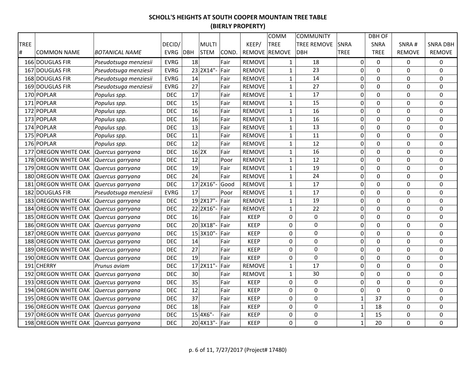|             |                                       |                       |             |    |              |       |               | COMM          | <b>COMMUNITY</b>   |             |                  | <b>DBH OF</b>  |               |                 |
|-------------|---------------------------------------|-----------------------|-------------|----|--------------|-------|---------------|---------------|--------------------|-------------|------------------|----------------|---------------|-----------------|
| <b>TREE</b> |                                       |                       | DECID/      |    | <b>MULTI</b> |       | KEEP/         | <b>TREE</b>   | <b>TREE REMOVE</b> | <b>SNRA</b> |                  | SNRA           | SNRA#         | <b>SNRA DBH</b> |
| #           | <b>COMMON NAME</b>                    | <b>BOTANICAL NAME</b> | EVRG DBH    |    | <b>STEM</b>  | COND. |               | REMOVE REMOVE | <b>DBH</b>         | <b>TREE</b> |                  | <b>TREE</b>    | <b>REMOVE</b> | <b>REMOVE</b>   |
|             | 166 DOUGLAS FIR                       | Pseudotsuga menziesii | <b>EVRG</b> | 18 |              | Fair  | <b>REMOVE</b> | $\mathbf{1}$  | 18                 |             | $\overline{0}$   | $\mathbf 0$    | 0             | 0               |
|             | 167 DOUGLAS FIR                       | Pseudotsuga menziesii | <b>EVRG</b> |    | 23 2X14"-    | Fair  | <b>REMOVE</b> | $\mathbf{1}$  | 23                 |             | $\pmb{0}$        | $\Omega$       | $\Omega$      | 0               |
|             | 168 DOUGLAS FIR                       | Pseudotsuga menziesii | <b>EVRG</b> | 14 |              | Fair  | <b>REMOVE</b> | $\mathbf{1}$  | 14                 |             | $\pmb{0}$        | 0              | 0             | 0               |
|             | 169 DOUGLAS FIR                       | Pseudotsuga menziesii | <b>EVRG</b> | 27 |              | Fair  | <b>REMOVE</b> | $\mathbf{1}$  | 27                 |             | $\pmb{0}$        | 0              | 0             | 0               |
|             | 170 POPLAR                            | Populus spp.          | <b>DEC</b>  | 17 |              | Fair  | <b>REMOVE</b> | $\mathbf{1}$  | 17                 |             | $\mathbf 0$      | $\overline{0}$ | $\mathbf 0$   | $\mathbf 0$     |
|             | 171 POPLAR                            | Populus spp.          | <b>DEC</b>  | 15 |              | Fair  | <b>REMOVE</b> | $\mathbf{1}$  | 15                 |             | $\mathbf 0$      | $\mathbf 0$    | 0             | 0               |
|             | 172 POPLAR                            | Populus spp.          | <b>DEC</b>  | 16 |              | Fair  | <b>REMOVE</b> | $\mathbf{1}$  | 16                 |             | $\mathbf 0$      | $\overline{0}$ | $\Omega$      | 0               |
|             | 173 POPLAR                            | Populus spp.          | <b>DEC</b>  | 16 |              | Fair  | <b>REMOVE</b> | $\mathbf{1}$  | 16                 |             | $\boldsymbol{0}$ | 0              | 0             | 0               |
|             | 174 POPLAR                            | Populus spp.          | <b>DEC</b>  | 13 |              | Fair  | <b>REMOVE</b> | $\mathbf{1}$  | 13                 |             | $\pmb{0}$        | 0              | 0             | 0               |
|             | 175 POPLAR                            | Populus spp.          | <b>DEC</b>  | 11 |              | Fair  | <b>REMOVE</b> | $\mathbf{1}$  | 11                 |             | $\boldsymbol{0}$ | 0              | 0             | $\pmb{0}$       |
|             | 176 POPLAR                            | Populus spp.          | <b>DEC</b>  | 12 |              | Fair  | <b>REMOVE</b> | $\mathbf 1$   | 12                 |             | $\boldsymbol{0}$ | $\overline{0}$ | $\mathbf 0$   | $\pmb{0}$       |
|             | 177 OREGON WHITE OAK                  | Quercus garryana      | <b>DEC</b>  |    | $16$ 2X      | Fair  | <b>REMOVE</b> | $\mathbf{1}$  | 16                 |             | $\mathbf 0$      | $\mathbf 0$    | 0             | 0               |
|             | 178 OREGON WHITE OAK                  | Quercus garryana      | <b>DEC</b>  | 12 |              | Poor  | <b>REMOVE</b> | $\mathbf{1}$  | 12                 |             | $\boldsymbol{0}$ | $\mathbf 0$    | 0             | $\pmb{0}$       |
|             | 179 OREGON WHITE OAK                  | Quercus garryana      | <b>DEC</b>  | 19 |              | Fair  | <b>REMOVE</b> | $\mathbf{1}$  | 19                 |             | 0                | $\mathbf 0$    | 0             | 0               |
|             | 180 OREGON WHITE OAK                  | Quercus garryana      | <b>DEC</b>  | 24 |              | Fair  | <b>REMOVE</b> | $\mathbf{1}$  | 24                 |             | $\boldsymbol{0}$ | 0              | 0             | 0               |
|             | 181 OREGON WHITE OAK                  | Quercus garryana      | <b>DEC</b>  |    | 17 2X16"-    | Good  | <b>REMOVE</b> | $\mathbf{1}$  | 17                 |             | $\boldsymbol{0}$ | $\overline{0}$ | 0             | 0               |
|             | 182 DOUGLAS FIR                       | Pseudotsuga menziesii | <b>EVRG</b> | 17 |              | Poor  | <b>REMOVE</b> | $\mathbf{1}$  | 17                 |             | $\mathbf 0$      | $\overline{0}$ | $\mathbf 0$   | $\mathbf 0$     |
|             | 183 OREGON WHITE OAK                  | Quercus garryana      | <b>DEC</b>  |    | 19 2X17"-    | Fair  | <b>REMOVE</b> | $\mathbf{1}$  | 19                 |             | 0                | $\Omega$       | $\Omega$      | 0               |
|             | 184 OREGON WHITE OAK                  | Quercus garryana      | <b>DEC</b>  |    | 22 2X16"-    | Fair  | <b>REMOVE</b> | $\mathbf{1}$  | 22                 |             | $\pmb{0}$        | 0              | 0             | $\pmb{0}$       |
|             | 185 OREGON WHITE OAK                  | Quercus garryana      | <b>DEC</b>  | 16 |              | Fair  | <b>KEEP</b>   | 0             | $\mathbf 0$        |             | $\boldsymbol{0}$ | 0              | $\mathbf 0$   | $\mathbf 0$     |
|             | 186 OREGON WHITE OAK                  | Quercus garryana      | <b>DEC</b>  |    | 203X18"-     | Fair  | <b>KEEP</b>   | 0             | $\mathbf 0$        |             | $\boldsymbol{0}$ | 0              | 0             | 0               |
|             | 187 OREGON WHITE OAK                  | Quercus garryana      | <b>DEC</b>  |    | 15 3X10"-    | Fair  | <b>KEEP</b>   | 0             | $\mathbf 0$        |             | $\overline{0}$   | $\overline{0}$ | $\mathbf 0$   | $\mathbf 0$     |
|             | 188 OREGON WHITE OAK Quercus garryana |                       | <b>DEC</b>  | 14 |              | Fair  | <b>KEEP</b>   | 0             | 0                  |             | $\mathbf 0$      | $\Omega$       | 0             | 0               |
|             | 189 OREGON WHITE OAK Quercus garryana |                       | <b>DEC</b>  | 27 |              | Fair  | <b>KEEP</b>   | 0             | $\boldsymbol{0}$   |             | $\boldsymbol{0}$ | $\Omega$       | 0             | $\pmb{0}$       |
|             | 190 OREGON WHITE OAK                  | Quercus garryana      | <b>DEC</b>  | 19 |              | Fair  | <b>KEEP</b>   | 0             | $\boldsymbol{0}$   |             | $\boldsymbol{0}$ | $\overline{0}$ | 0             | $\pmb{0}$       |
|             | 191 CHERRY                            | Prunus aviam          | <b>DEC</b>  |    | 17 2X11"-    | Fair  | <b>REMOVE</b> | $\mathbf{1}$  | 17                 |             | $\mathbf 0$      | $\overline{0}$ | 0             | $\mathbf 0$     |
|             | 192 OREGON WHITE OAK                  | Quercus garryana      | <b>DEC</b>  | 30 |              | Fair  | <b>REMOVE</b> | $\mathbf{1}$  | 30                 |             | $\mathbf 0$      | 0              | 0             | $\mathbf 0$     |
|             | <b>193 OREGON WHITE OAK</b>           | Quercus garryana      | <b>DEC</b>  | 35 |              | Fair  | <b>KEEP</b>   | 0             | $\mathbf 0$        |             | $\mathbf 0$      | $\mathbf 0$    | 0             | 0               |
|             | 194 OREGON WHITE OAK                  | Quercus garryana      | <b>DEC</b>  | 12 |              | Fair  | <b>KEEP</b>   | 0             | 0                  |             | $\mathbf 0$      | $\mathbf 0$    | 0             | 0               |
|             | 195 OREGON WHITE OAK                  | Quercus garryana      | <b>DEC</b>  | 37 |              | Fair  | <b>KEEP</b>   | 0             | $\mathbf 0$        |             | $\mathbf 1$      | 37             | 0             | $\mathbf 0$     |
|             | 196 OREGON WHITE OAK                  | Quercus garryana      | <b>DEC</b>  | 18 |              | Fair  | <b>KEEP</b>   | 0             | 0                  |             | $\mathbf 1$      | 18             | 0             | 0               |
|             | 197 OREGON WHITE OAK                  | Quercus garryana      | <b>DEC</b>  |    | 15 4X6"-     | Fair  | <b>KEEP</b>   | 0             | $\mathbf 0$        |             | $\mathbf 1$      | 15             | 0             | $\pmb{0}$       |
|             | 198 OREGON WHITE OAK                  | Quercus garryana      | <b>DEC</b>  |    | 20 4X13"-    | Fair  | <b>KEEP</b>   | 0             | $\mathbf 0$        |             | $\mathbf{1}$     | 20             | 0             | 0               |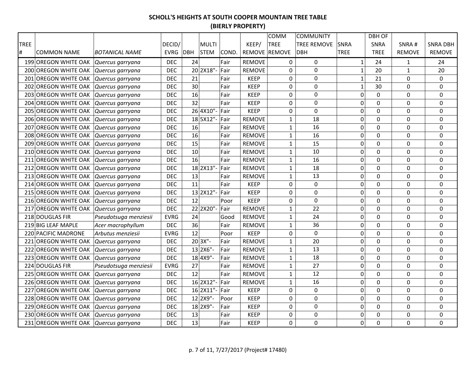|             |                                       |                       |             |    |              |       |               | COMM          | <b>COMMUNITY</b>   |                  | <b>DBH OF</b>  |               |                 |
|-------------|---------------------------------------|-----------------------|-------------|----|--------------|-------|---------------|---------------|--------------------|------------------|----------------|---------------|-----------------|
| <b>TREE</b> |                                       |                       | DECID/      |    | <b>MULTI</b> |       | KEEP/         | <b>TREE</b>   | <b>TREE REMOVE</b> | <b>SNRA</b>      | SNRA           | SNRA#         | <b>SNRA DBH</b> |
| #           | <b>COMMON NAME</b>                    | <b>BOTANICAL NAME</b> | EVRG DBH    |    | <b>STEM</b>  | COND. |               | REMOVE REMOVE | <b>DBH</b>         | <b>TREE</b>      | <b>TREE</b>    | <b>REMOVE</b> | <b>REMOVE</b>   |
|             | 199 OREGON WHITE OAK                  | Quercus garryana      | <b>DEC</b>  | 24 |              | Fair  | <b>REMOVE</b> | 0             | $\mathbf 0$        | $\mathbf{1}$     | 24             | $\mathbf{1}$  | 24              |
|             | 200 OREGON WHITE OAK                  | Quercus garryana      | <b>DEC</b>  |    | 20 2X18"-    | Fair  | <b>REMOVE</b> | 0             | $\Omega$           | $\mathbf 1$      | 20             | $\mathbf{1}$  | 20              |
|             | 201 OREGON WHITE OAK                  | Quercus garryana      | <b>DEC</b>  | 21 |              | Fair  | <b>KEEP</b>   | 0             | 0                  | $1\,$            | 21             | 0             | 0               |
|             | 202 OREGON WHITE OAK                  | Quercus garryana      | <b>DEC</b>  | 30 |              | Fair  | <b>KEEP</b>   | 0             | 0                  | $\mathbf 1$      | 30             | 0             | 0               |
|             | 203 OREGON WHITE OAK Quercus garryana |                       | <b>DEC</b>  | 16 |              | Fair  | <b>KEEP</b>   | 0             | $\mathbf 0$        | $\mathbf 0$      | $\mathbf 0$    | $\Omega$      | 0               |
|             | 204 OREGON WHITE OAK                  | Quercus garryana      | <b>DEC</b>  | 32 |              | Fair  | <b>KEEP</b>   | 0             | $\mathbf 0$        | $\mathbf 0$      | $\mathbf 0$    | $\Omega$      | 0               |
|             | 205 OREGON WHITE OAK Quercus garryana |                       | <b>DEC</b>  |    | 26 4X10"-    | Fair  | <b>KEEP</b>   | 0             | $\overline{0}$     | $\mathbf 0$      | $\overline{0}$ | $\Omega$      | $\Omega$        |
|             | 206 OREGON WHITE OAK                  | Quercus garryana      | <b>DEC</b>  |    | 18 5X12"-    | Fair  | <b>REMOVE</b> | $\mathbf{1}$  | 18                 | $\boldsymbol{0}$ | $\overline{0}$ | 0             | 0               |
| 207         | <b>OREGON WHITE OAK</b>               | Quercus garryana      | <b>DEC</b>  | 16 |              | Fair  | <b>REMOVE</b> | $\mathbf{1}$  | 16                 | $\pmb{0}$        | 0              | 0             | $\pmb{0}$       |
|             | 208 OREGON WHITE OAK                  | Quercus garryana      | <b>DEC</b>  | 16 |              | Fair  | <b>REMOVE</b> | $\mathbf{1}$  | 16                 | $\boldsymbol{0}$ | $\overline{0}$ | 0             | $\pmb{0}$       |
| 209         | <b>OREGON WHITE OAK</b>               | Quercus garryana      | <b>DEC</b>  | 15 |              | Fair  | <b>REMOVE</b> | $\mathbf 1$   | 15                 | $\mathbf 0$      | $\overline{0}$ | 0             | $\mathbf 0$     |
|             | 210 OREGON WHITE OAK                  | Quercus garryana      | <b>DEC</b>  | 10 |              | Fair  | <b>REMOVE</b> | $\mathbf{1}$  | 10                 | $\mathbf 0$      | $\mathbf 0$    | 0             | 0               |
| 211         | <b>OREGON WHITE OAK</b>               | Quercus garryana      | <b>DEC</b>  | 16 |              | Fair  | <b>REMOVE</b> | $\mathbf{1}$  | 16                 | $\boldsymbol{0}$ | $\mathbf 0$    | 0             | $\pmb{0}$       |
|             | 212 OREGON WHITE OAK                  | Quercus garryana      | <b>DEC</b>  |    | 18 2X13"-    | Fair  | <b>REMOVE</b> | $\mathbf{1}$  | 18                 | 0                | $\mathbf 0$    | 0             | 0               |
|             | 213 OREGON WHITE OAK                  | Quercus garryana      | <b>DEC</b>  | 13 |              | Fair  | <b>REMOVE</b> | $\mathbf{1}$  | 13                 | $\boldsymbol{0}$ | 0              | 0             | 0               |
|             | 214 OREGON WHITE OAK                  | Quercus garryana      | <b>DEC</b>  | 11 |              | Fair  | <b>KEEP</b>   | 0             | $\boldsymbol{0}$   | $\boldsymbol{0}$ | $\overline{0}$ | 0             | $\mathbf 0$     |
|             | 215 OREGON WHITE OAK                  | Quercus garryana      | <b>DEC</b>  |    | 13 2X12"-    | Fair  | <b>KEEP</b>   | 0             | $\mathbf 0$        | $\mathbf 0$      | $\overline{0}$ | 0             | $\mathbf 0$     |
|             | 216 OREGON WHITE OAK                  | Quercus garryana      | <b>DEC</b>  | 12 |              | Poor  | <b>KEEP</b>   | 0             | 0                  | 0                | $\Omega$       | $\Omega$      | 0               |
|             | 217 OREGON WHITE OAK                  | Quercus garryana      | <b>DEC</b>  |    | 22 2X20"-    | Fair  | <b>REMOVE</b> | $\mathbf{1}$  | 22                 | $\pmb{0}$        | $\Omega$       | 0             | $\pmb{0}$       |
|             | 218 DOUGLAS FIR                       | Pseudotsuga menziesii | <b>EVRG</b> | 24 |              | Good  | <b>REMOVE</b> | $\mathbf 1$   | 24                 | $\boldsymbol{0}$ | 0              | $\mathbf 0$   | $\mathbf 0$     |
|             | 219 BIG LEAF MAPLE                    | Acer macrophyllum     | <b>DEC</b>  | 36 |              | Fair  | <b>REMOVE</b> | $\mathbf{1}$  | 36                 | $\boldsymbol{0}$ | 0              | 0             | $\mathbf 0$     |
|             | 220 PACIFIC MADRONE                   | Arbutus menziesii     | <b>EVRG</b> | 12 |              | Poor  | <b>KEEP</b>   | 0             | $\mathbf 0$        | $\overline{0}$   | 0              | $\mathbf 0$   | $\mathbf 0$     |
|             | 221 OREGON WHITE OAK                  | Quercus garryana      | <b>DEC</b>  |    | $20$ 3X"-    | Fair  | <b>REMOVE</b> | $\mathbf{1}$  | 20                 | $\mathbf 0$      | $\Omega$       | $\Omega$      | 0               |
|             | 222 OREGON WHITE OAK                  | Quercus garryana      | <b>DEC</b>  |    | 13 2X6"      | Fair  | <b>REMOVE</b> | $\mathbf{1}$  | 13                 | $\boldsymbol{0}$ | $\Omega$       | 0             | 0               |
|             | 223 OREGON WHITE OAK                  | Quercus garryana      | <b>DEC</b>  |    | 18 4X9"-     | Fair  | <b>REMOVE</b> | $\mathbf{1}$  | 18                 | $\pmb{0}$        | 0              | 0             | $\pmb{0}$       |
|             | 224 DOUGLAS FIR                       | Pseudotsuga menziesii | <b>EVRG</b> | 27 |              | Fair  | <b>REMOVE</b> | $\mathbf{1}$  | 27                 | $\mathbf 0$      | $\overline{0}$ | 0             | $\mathbf 0$     |
|             | 225 OREGON WHITE OAK                  | Quercus garryana      | <b>DEC</b>  | 12 |              | Fair  | <b>REMOVE</b> | $\mathbf{1}$  | 12                 | $\mathbf 0$      | 0              | 0             | $\mathbf 0$     |
|             | 226 OREGON WHITE OAK                  | Quercus garryana      | <b>DEC</b>  |    | 16 2X12"-    | Fair  | <b>REMOVE</b> | $\mathbf{1}$  | 16                 | $\mathbf 0$      | $\mathbf 0$    | 0             | 0               |
|             | 227 OREGON WHITE OAK                  | Quercus garryana      | <b>DEC</b>  |    | 16 2X11"-    | Fair  | <b>KEEP</b>   | 0             | 0                  | $\mathbf 0$      | $\Omega$       | 0             | 0               |
|             | 228 OREGON WHITE OAK                  | Quercus garryana      | <b>DEC</b>  |    | 12 2X9"-     | Poor  | <b>KEEP</b>   | 0             | $\mathbf 0$        | $\mathbf 0$      | $\mathbf 0$    | 0             | 0               |
|             | 229 OREGON WHITE OAK                  | Quercus garryana      | <b>DEC</b>  |    | 18 2X9"-     | Fair  | <b>KEEP</b>   | 0             | 0                  | $\mathbf 0$      | 0              | 0             | 0               |
|             | 230 OREGON WHITE OAK                  | Quercus garryana      | <b>DEC</b>  | 13 |              | Fair  | <b>KEEP</b>   | 0             | $\mathbf 0$        | $\mathbf 0$      | 0              | 0             | $\mathbf 0$     |
|             | 231 OREGON WHITE OAK                  | Quercus garryana      | <b>DEC</b>  | 13 |              | Fair  | <b>KEEP</b>   | 0             | $\mathbf 0$        | 0                | $\overline{0}$ | $\Omega$      | $\Omega$        |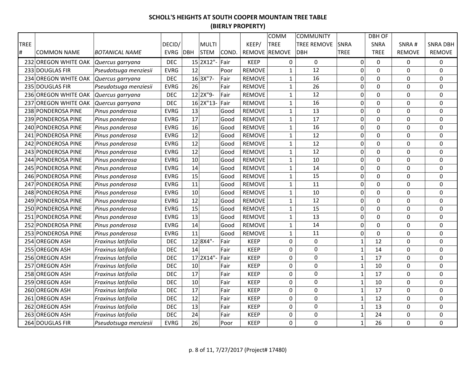|             |                      |                       |             |              |       |               | COMM          | <b>COMMUNITY</b>   |                  | <b>DBH OF</b>  |                  |                 |
|-------------|----------------------|-----------------------|-------------|--------------|-------|---------------|---------------|--------------------|------------------|----------------|------------------|-----------------|
| <b>TREE</b> |                      |                       | DECID/      | <b>MULTI</b> |       | KEEP/         | <b>TREE</b>   | <b>TREE REMOVE</b> | <b>SNRA</b>      | SNRA           | SNRA#            | <b>SNRA DBH</b> |
| #           | <b>COMMON NAME</b>   | <b>BOTANICAL NAME</b> | EVRG DBH    | <b>STEM</b>  | COND. |               | REMOVE REMOVE | <b>DBH</b>         | <b>TREE</b>      | <b>TREE</b>    | <b>REMOVE</b>    | <b>REMOVE</b>   |
|             | 232 OREGON WHITE OAK | Quercus garryana      | <b>DEC</b>  | 15 2X12"-    | Fair  | <b>KEEP</b>   | 0             | $\pmb{0}$          | $\mathbf 0$      | $\Omega$       | $\Omega$         | 0               |
|             | 233 DOUGLAS FIR      | Pseudotsuga menziesii | <b>EVRG</b> | 12           | Poor  | <b>REMOVE</b> | $\mathbf{1}$  | 12                 | $\mathbf 0$      | $\mathbf 0$    | 0                | 0               |
|             | 234 OREGON WHITE OAK | Quercus garryana      | <b>DEC</b>  | 16 3X"7-     | Fair  | <b>REMOVE</b> | $\mathbf{1}$  | 16                 | $\mathbf 0$      | $\mathbf 0$    | 0                | 0               |
|             | 235 DOUGLAS FIR      | Pseudotsuga menziesii | <b>EVRG</b> | 26           | Fair  | <b>REMOVE</b> | $1\,$         | 26                 | 0                | $\Omega$       | 0                | 0               |
|             | 236 OREGON WHITE OAK | Quercus garryana      | <b>DEC</b>  | 12 2X"9-     | Fair  | <b>REMOVE</b> | $\mathbf 1$   | 12                 | 0                | $\Omega$       | 0                | 0               |
|             | 237 OREGON WHITE OAK | Quercus garryana      | <b>DEC</b>  | 16 2X"13-    | Fair  | <b>REMOVE</b> | $\mathbf{1}$  | 16                 | 0                | 0              | 0                | 0               |
|             | 238 PONDEROSA PINE   | Pinus ponderosa       | <b>EVRG</b> | 13           | Good  | <b>REMOVE</b> | $\mathbf{1}$  | 13                 | 0                | $\mathbf 0$    | 0                | 0               |
|             | 239 PONDEROSA PINE   | Pinus ponderosa       | <b>EVRG</b> | 17           | Good  | <b>REMOVE</b> | $\mathbf{1}$  | 17                 | $\mathbf 0$      | 0              | $\Omega$         | 0               |
|             | 240 PONDEROSA PINE   | Pinus ponderosa       | <b>EVRG</b> | 16           | Good  | <b>REMOVE</b> | $1\,$         | 16                 | 0                | 0              | 0                | 0               |
|             | 241 PONDEROSA PINE   | Pinus ponderosa       | <b>EVRG</b> | 12           | Good  | <b>REMOVE</b> | $\mathbf{1}$  | 12                 | 0                | $\overline{0}$ | 0                | $\mathbf 0$     |
|             | 242 PONDEROSA PINE   | Pinus ponderosa       | <b>EVRG</b> | 12           | Good  | <b>REMOVE</b> | $\mathbf{1}$  | 12                 | $\mathbf 0$      | $\mathbf 0$    | 0                | $\mathbf 0$     |
|             | 243 PONDEROSA PINE   | Pinus ponderosa       | <b>EVRG</b> | 12           | Good  | <b>REMOVE</b> | $1\,$         | 12                 | 0                | $\mathbf 0$    | 0                | 0               |
|             | 244 PONDEROSA PINE   | Pinus ponderosa       | <b>EVRG</b> | 10           | Good  | <b>REMOVE</b> | $\mathbf 1$   | 10                 | $\boldsymbol{0}$ | $\mathbf 0$    | 0                | $\pmb{0}$       |
|             | 245 PONDEROSA PINE   | Pinus ponderosa       | <b>EVRG</b> | 14           | Good  | <b>REMOVE</b> | $\mathbf{1}$  | 14                 | $\mathbf 0$      | $\mathbf 0$    | 0                | 0               |
|             | 246 PONDEROSA PINE   | Pinus ponderosa       | <b>EVRG</b> | 15           | Good  | <b>REMOVE</b> | $\mathbf{1}$  | 15                 | $\mathbf 0$      | $\mathbf 0$    | 0                | $\mathbf 0$     |
|             | 247 PONDEROSA PINE   | Pinus ponderosa       | <b>EVRG</b> | 11           | Good  | <b>REMOVE</b> | $\mathbf{1}$  | 11                 | 0                | $\Omega$       | $\Omega$         | $\Omega$        |
|             | 248 PONDEROSA PINE   | Pinus ponderosa       | <b>EVRG</b> | 10           | Good  | <b>REMOVE</b> | $1\,$         | 10                 | 0                | $\mathbf 0$    | 0                | 0               |
|             | 249 PONDEROSA PINE   | Pinus ponderosa       | <b>EVRG</b> | 12           | Good  | <b>REMOVE</b> | $\mathbf{1}$  | 12                 | $\boldsymbol{0}$ | $\mathbf 0$    | 0                | 0               |
|             | 250 PONDEROSA PINE   | Pinus ponderosa       | <b>EVRG</b> | 15           | Good  | <b>REMOVE</b> | $\mathbf{1}$  | 15                 | 0                | $\overline{0}$ | $\mathbf 0$      | $\mathbf 0$     |
|             | 251 PONDEROSA PINE   | Pinus ponderosa       | <b>EVRG</b> | 13           | Good  | <b>REMOVE</b> | $\mathbf{1}$  | 13                 | $\pmb{0}$        | $\Omega$       | $\Omega$         | 0               |
|             | 252 PONDEROSA PINE   | Pinus ponderosa       | <b>EVRG</b> | 14           | Good  | <b>REMOVE</b> | $1\,$         | 14                 | $\pmb{0}$        | 0              | $\boldsymbol{0}$ | 0               |
|             | 253 PONDEROSA PINE   | Pinus ponderosa       | <b>EVRG</b> | 11           | Good  | <b>REMOVE</b> | $\mathbf{1}$  | 11                 | $\mathbf 0$      | $\overline{0}$ | $\mathbf 0$      | 0               |
|             | 254 OREGON ASH       | Fraxinus latifolia    | <b>DEC</b>  | 12 8X4"-     | Fair  | <b>KEEP</b>   | $\mathbf 0$   | $\mathbf 0$        | $\mathbf 1$      | 12             | 0                | $\mathbf 0$     |
|             | 255 OREGON ASH       | Fraxinus latifolia    | <b>DEC</b>  | 14           | Fair  | <b>KEEP</b>   | 0             | $\Omega$           | $\mathbf 1$      | 14             | 0                | 0               |
|             | 256 OREGON ASH       | Fraxinus latifolia    | <b>DEC</b>  | 17 2X14"-    | Fair  | <b>KEEP</b>   | 0             | $\mathbf 0$        | $\mathbf 1$      | 17             | 0                | 0               |
|             | 257 OREGON ASH       | Fraxinus latifolia    | <b>DEC</b>  | 10           | Fair  | <b>KEEP</b>   | $\mathbf 0$   | $\mathbf 0$        | $\mathbf 1$      | 10             | $\mathbf 0$      | $\mathbf 0$     |
|             | 258 OREGON ASH       | Fraxinus latifolia    | <b>DEC</b>  | 17           | Fair  | <b>KEEP</b>   | 0             | $\mathbf 0$        | $\mathbf{1}$     | 17             | 0                | 0               |
|             | 259 OREGON ASH       | Fraxinus latifolia    | <b>DEC</b>  | 10           | Fair  | <b>KEEP</b>   | $\pmb{0}$     | $\boldsymbol{0}$   | $\mathbf{1}$     | 10             | 0                | $\pmb{0}$       |
|             | 260 OREGON ASH       | Fraxinus latifolia    | <b>DEC</b>  | 17           | Fair  | <b>KEEP</b>   | 0             | $\boldsymbol{0}$   | $\mathbf{1}$     | 17             | 0                | $\pmb{0}$       |
|             | 261 OREGON ASH       | Fraxinus latifolia    | <b>DEC</b>  | 12           | Fair  | <b>KEEP</b>   | $\mathbf 0$   | $\mathbf 0$        | $\mathbf{1}$     | 12             | 0                | $\mathbf 0$     |
|             | 262 OREGON ASH       | Fraxinus latifolia    | <b>DEC</b>  | 13           | Fair  | <b>KEEP</b>   | 0             | $\Omega$           | $\mathbf{1}$     | 13             | 0                | 0               |
|             | 263 OREGON ASH       | Fraxinus latifolia    | <b>DEC</b>  | 24           | Fair  | <b>KEEP</b>   | 0             | 0                  | $\mathbf{1}$     | 24             | 0                | 0               |
|             | 264 DOUGLAS FIR      | Pseudotsuga menziesii | <b>EVRG</b> | 26           | Poor  | <b>KEEP</b>   | $\mathbf 0$   | $\mathbf 0$        | $\mathbf 1$      | 26             | 0                | $\mathbf 0$     |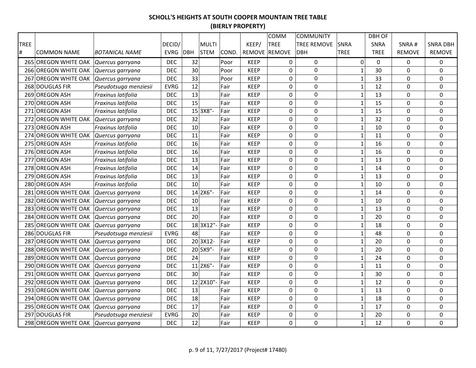|             |                                       |                       |             |     |              |       |             | COMM          | <b>COMMUNITY</b>   |             |                | <b>DBH OF</b> |               |                  |
|-------------|---------------------------------------|-----------------------|-------------|-----|--------------|-------|-------------|---------------|--------------------|-------------|----------------|---------------|---------------|------------------|
| <b>TREE</b> |                                       |                       | DECID/      |     | <b>MULTI</b> |       | KEEP/       | <b>TREE</b>   | <b>TREE REMOVE</b> | <b>SNRA</b> |                | SNRA          | SNRA#         | <b>SNRA DBH</b>  |
| #           | <b>COMMON NAME</b>                    | <b>BOTANICAL NAME</b> | <b>EVRG</b> | DBH | <b>STEM</b>  | COND. |             | REMOVE REMOVE | <b>DBH</b>         | <b>TREE</b> |                | <b>TREE</b>   | <b>REMOVE</b> | <b>REMOVE</b>    |
|             | 265 OREGON WHITE OAK                  | Quercus garryana      | <b>DEC</b>  | 32  |              | Poor  | <b>KEEP</b> | 0             | $\mathbf 0$        |             | $\overline{0}$ | $\mathbf 0$   | 0             | 0                |
|             | 266 OREGON WHITE OAK                  | Quercus garryana      | <b>DEC</b>  | 30  |              | Poor  | <b>KEEP</b> | 0             | 0                  |             | $\mathbf 1$    | 30            | $\Omega$      | 0                |
|             | 267 OREGON WHITE OAK                  | Quercus garryana      | <b>DEC</b>  | 33  |              | Poor  | <b>KEEP</b> | 0             | 0                  |             | $\mathbf 1$    | 33            | 0             | 0                |
|             | 268 DOUGLAS FIR                       | Pseudotsuga menziesii | <b>EVRG</b> | 12  |              | Fair  | <b>KEEP</b> | 0             | $\mathbf 0$        |             | $\mathbf{1}$   | 12            | 0             | 0                |
|             | 269 OREGON ASH                        | Fraxinus latifolia    | <b>DEC</b>  | 13  |              | Fair  | <b>KEEP</b> | $\mathbf 0$   | $\mathbf 0$        |             | $\mathbf 1$    | 13            | 0             | 0                |
|             | 270 OREGON ASH                        | Fraxinus latifolia    | <b>DEC</b>  | 15  |              | Fair  | <b>KEEP</b> | 0             | $\mathbf 0$        |             | $\mathbf 1$    | 15            | 0             | 0                |
|             | 271 OREGON ASH                        | Fraxinus latifolia    | <b>DEC</b>  |     | 15 3X8"-     | Fair  | <b>KEEP</b> | 0             | $\mathbf 0$        |             | $\mathbf 1$    | 15            | $\Omega$      | 0                |
|             | 272 OREGON WHITE OAK Quercus garryana |                       | <b>DEC</b>  | 32  |              | Fair  | <b>KEEP</b> | 0             | $\mathbf 0$        |             | $\mathbf 1$    | 32            | 0             | 0                |
|             | 273 OREGON ASH                        | Fraxinus latifolia    | <b>DEC</b>  | 10  |              | Fair  | <b>KEEP</b> | 0             | $\boldsymbol{0}$   |             | $\mathbf 1$    | 10            | 0             | 0                |
| 274         | <b>OREGON WHITE OAK</b>               | Quercus garryana      | <b>DEC</b>  | 11  |              | Fair  | <b>KEEP</b> | 0             | $\mathbf 0$        |             | $\mathbf 1$    | 11            | 0             | $\boldsymbol{0}$ |
|             | 275 OREGON ASH                        | Fraxinus latifolia    | <b>DEC</b>  | 16  |              | Fair  | <b>KEEP</b> | 0             | $\mathbf 0$        |             | $\mathbf 1$    | 16            | $\pmb{0}$     | $\pmb{0}$        |
|             | 276 OREGON ASH                        | Fraxinus latifolia    | <b>DEC</b>  | 16  |              | Fair  | <b>KEEP</b> | 0             | $\mathbf 0$        |             | $\mathbf 1$    | 16            | 0             | 0                |
| 277         | <b>OREGON ASH</b>                     | Fraxinus latifolia    | <b>DEC</b>  | 13  |              | Fair  | <b>KEEP</b> | 0             | $\mathbf 0$        |             | $\mathbf 1$    | 13            | 0             | $\pmb{0}$        |
|             | 278 OREGON ASH                        | Fraxinus latifolia    | <b>DEC</b>  | 14  |              | Fair  | <b>KEEP</b> | 0             | $\mathbf 0$        |             | $\mathbf 1$    | 14            | 0             | 0                |
|             | 279 OREGON ASH                        | Fraxinus latifolia    | <b>DEC</b>  | 13  |              | Fair  | <b>KEEP</b> | 0             | $\mathbf 0$        |             | $\mathbf 1$    | 13            | 0             | 0                |
|             | 280 OREGON ASH                        | Fraxinus latifolia    | <b>DEC</b>  | 10  |              | Fair  | <b>KEEP</b> | 0             | $\mathbf 0$        |             | $\mathbf{1}$   | 10            | $\mathbf 0$   | 0                |
|             | 281 OREGON WHITE OAK                  | Quercus garryana      | <b>DEC</b>  |     | 14 2X6"-     | Fair  | <b>KEEP</b> | 0             | $\mathbf 0$        |             | $\mathbf{1}$   | 14            | $\mathbf 0$   | 0                |
|             | 282 OREGON WHITE OAK                  | Quercus garryana      | <b>DEC</b>  | 10  |              | Fair  | <b>KEEP</b> | 0             | 0                  |             | $\mathbf 1$    | 10            | 0             | 0                |
|             | 283 OREGON WHITE OAK                  | Quercus garryana      | <b>DEC</b>  | 13  |              | Fair  | <b>KEEP</b> | 0             | $\boldsymbol{0}$   |             | $\mathbf 1$    | 13            | 0             | $\pmb{0}$        |
|             | 284 OREGON WHITE OAK                  | Quercus garryana      | <b>DEC</b>  | 20  |              | Fair  | <b>KEEP</b> | 0             | $\mathbf 0$        |             | $\mathbf 1$    | 20            | $\pmb{0}$     | $\mathbf 0$      |
|             | 285 OREGON WHITE OAK Quercus garryana |                       | <b>DEC</b>  |     | 18 3X12"-    | Fair  | <b>KEEP</b> | 0             | $\mathbf 0$        |             | $\mathbf{1}$   | 18            | 0             | 0                |
|             | 286 DOUGLAS FIR                       | Pseudotsuga menziesii | <b>EVRG</b> | 48  |              | Fair  | <b>KEEP</b> | 0             | $\mathbf 0$        |             | $\mathbf{1}$   | 48            | $\mathbf 0$   | $\mathbf 0$      |
|             | 287 OREGON WHITE OAK                  | Quercus garryana      | <b>DEC</b>  |     | 20 3X12-     | Fair  | <b>KEEP</b> | 0             | 0                  |             | $\mathbf 1$    | 20            | 0             | 0                |
|             | 288 OREGON WHITE OAK                  | Quercus garryana      | <b>DEC</b>  |     | 20 5X9"-     | Fair  | <b>KEEP</b> | 0             | 0                  |             | $\mathbf 1$    | 20            | 0             | 0                |
|             | 289 OREGON WHITE OAK                  | Quercus garryana      | <b>DEC</b>  | 24  |              | Fair  | <b>KEEP</b> | 0             | $\boldsymbol{0}$   |             | $\mathbf{1}$   | 24            | 0             | $\pmb{0}$        |
|             | 290 OREGON WHITE OAK                  | Quercus garryana      | <b>DEC</b>  |     | $11$  2X6"-  | Fair  | <b>KEEP</b> | 0             | $\mathbf 0$        |             | $\mathbf{1}$   | 11            | 0             | $\mathbf 0$      |
|             | 291 OREGON WHITE OAK                  | Quercus garryana      | <b>DEC</b>  | 30  |              | Fair  | <b>KEEP</b> | 0             | $\mathbf 0$        |             | $\mathbf{1}$   | 30            | 0             | $\mathbf 0$      |
|             | 292 OREGON WHITE OAK                  | Quercus garryana      | <b>DEC</b>  |     | 12 2X10"-    | Fair  | <b>KEEP</b> | 0             | $\mathbf 0$        |             | $\mathbf{1}$   | 12            | 0             | 0                |
|             | 293 OREGON WHITE OAK                  | Quercus garryana      | <b>DEC</b>  | 13  |              | Fair  | <b>KEEP</b> | 0             | 0                  |             | $\mathbf{1}$   | 13            | 0             | 0                |
|             | 294 OREGON WHITE OAK                  | Quercus garryana      | <b>DEC</b>  | 18  |              | Fair  | <b>KEEP</b> | 0             | $\boldsymbol{0}$   |             | $\mathbf 1$    | 18            | 0             | 0                |
|             | 295 OREGON WHITE OAK                  | Quercus garryana      | <b>DEC</b>  | 17  |              | Fair  | <b>KEEP</b> | 0             | 0                  |             | $\mathbf 1$    | 17            | 0             | 0                |
|             | 297 DOUGLAS FIR                       | Pseudotsuga menziesii | <b>EVRG</b> | 20  |              | Fair  | <b>KEEP</b> | 0             | $\mathbf 0$        |             | $\mathbf{1}$   | 20            | 0             | $\mathbf 0$      |
|             | 298 OREGON WHITE OAK                  | Quercus garryana      | <b>DEC</b>  | 12  |              | Fair  | <b>KEEP</b> | 0             | $\mathbf 0$        |             | $\mathbf{1}$   | 12            | 0             | $\Omega$         |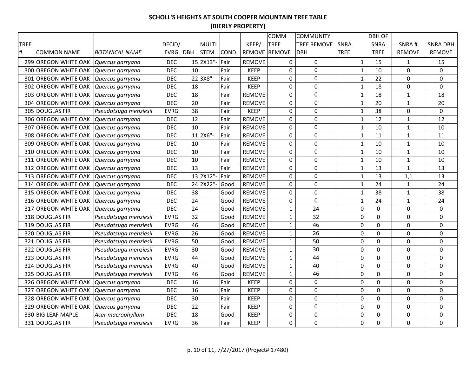|             |                                       |                       |             |     |              |       |               | COMM          | <b>COMMUNITY</b>   |                  | <b>DBH OF</b>  |               |                 |
|-------------|---------------------------------------|-----------------------|-------------|-----|--------------|-------|---------------|---------------|--------------------|------------------|----------------|---------------|-----------------|
| <b>TREE</b> |                                       |                       | DECID/      |     | <b>MULTI</b> |       | KEEP/         | <b>TREE</b>   | <b>TREE REMOVE</b> | <b>SNRA</b>      | SNRA           | SNRA#         | <b>SNRA DBH</b> |
| #           | <b>COMMON NAME</b>                    | <b>BOTANICAL NAME</b> | <b>EVRG</b> | DBH | <b>STEM</b>  | COND. |               | REMOVE REMOVE | <b>DBH</b>         | <b>TREE</b>      | <b>TREE</b>    | <b>REMOVE</b> | <b>REMOVE</b>   |
|             | 299 OREGON WHITE OAK                  | Quercus garryana      | <b>DEC</b>  |     | 15 2X13"-    | Fair  | <b>REMOVE</b> | 0             | $\pmb{0}$          | $1\,$            | 15             | $\mathbf{1}$  | 15              |
|             | 300 OREGON WHITE OAK                  | Quercus garryana      | <b>DEC</b>  | 10  |              | Fair  | <b>KEEP</b>   | 0             | $\mathbf 0$        | $1\,$            | 10             | 0             | 0               |
|             | 301 OREGON WHITE OAK                  | Quercus garryana      | <b>DEC</b>  |     | 22 3X8"-     | Fair  | <b>KEEP</b>   | 0             | 0                  | $1\,$            | 22             | 0             | $\mathbf 0$     |
|             | 302 OREGON WHITE OAK                  | Quercus garryana      | <b>DEC</b>  | 18  |              | Fair  | <b>KEEP</b>   | 0             | $\mathbf 0$        | $\mathbf{1}$     | 18             | 0             | 0               |
|             | 303 OREGON WHITE OAK                  | Quercus garryana      | <b>DEC</b>  | 18  |              | Fair  | <b>REMOVE</b> | 0             | $\mathbf 0$        | $\mathbf 1$      | 18             | $\mathbf{1}$  | 18              |
|             | 304 OREGON WHITE OAK Quercus garryana |                       | <b>DEC</b>  | 20  |              | Fair  | <b>REMOVE</b> | 0             | $\mathbf 0$        | $\mathbf 1$      | 20             | $\mathbf{1}$  | 20              |
|             | 305 DOUGLAS FIR                       | Pseudotsuga menziesii | <b>EVRG</b> | 38  |              | Fair  | <b>KEEP</b>   | 0             | $\mathbf 0$        | $\mathbf 1$      | 38             | 0             | 0               |
|             | 306 OREGON WHITE OAK                  | Quercus garryana      | <b>DEC</b>  | 12  |              | Fair  | <b>REMOVE</b> | 0             | $\mathbf 0$        | $\mathbf 1$      | 12             | $\mathbf{1}$  | 12              |
| 307         | <b>OREGON WHITE OAK</b>               | Quercus garryana      | <b>DEC</b>  | 10  |              | Fair  | <b>REMOVE</b> | 0             | $\mathbf 0$        | $\mathbf 1$      | 10             | $\mathbf{1}$  | 10              |
| 308         | <b>OREGON WHITE OAK</b>               | Quercus garryana      | <b>DEC</b>  |     | 11 2X6"-     | Fair  | <b>REMOVE</b> | 0             | $\mathbf 0$        | $\mathbf{1}$     | 11             | $\mathbf{1}$  | 11              |
| 309         | <b>OREGON WHITE OAK</b>               | Quercus garryana      | <b>DEC</b>  | 10  |              | Fair  | <b>REMOVE</b> | 0             | $\mathbf 0$        | $\mathbf 1$      | 10             | $\mathbf{1}$  | 10              |
|             | 310 OREGON WHITE OAK                  | Quercus garryana      | <b>DEC</b>  | 10  |              | Fair  | <b>REMOVE</b> | 0             | $\mathbf 0$        | $\mathbf 1$      | 10             | $1\,$         | 10              |
|             | 311 OREGON WHITE OAK                  | Quercus garryana      | <b>DEC</b>  | 10  |              | Fair  | <b>REMOVE</b> | 0             | $\mathbf 0$        | $\mathbf 1$      | 10             | $\mathbf{1}$  | 10              |
|             | 312 OREGON WHITE OAK                  | Quercus garryana      | <b>DEC</b>  | 13  |              | Fair  | <b>REMOVE</b> | 0             | $\mathbf 0$        | $\mathbf 1$      | 13             | $\mathbf{1}$  | 13              |
|             | 313 OREGON WHITE OAK                  | Quercus garryana      | <b>DEC</b>  |     | 13 2X12"-    | Fair  | <b>REMOVE</b> | 0             | $\mathbf 0$        | $\mathbf 1$      | 13             | 1,1           | 13              |
|             | 314 OREGON WHITE OAK                  | Quercus garryana      | <b>DEC</b>  |     | 24 2X22"-    | Good  | <b>REMOVE</b> | 0             | 0                  | $\mathbf 1$      | 24             | $\mathbf{1}$  | 24              |
|             | 315 OREGON WHITE OAK                  | Quercus garryana      | <b>DEC</b>  | 38  |              | Good  | <b>REMOVE</b> | 0             | 0                  | $\mathbf 1$      | 38             | 1             | 38              |
|             | 316 OREGON WHITE OAK                  | Quercus garryana      | <b>DEC</b>  | 24  |              | Good  | <b>REMOVE</b> | 0             | $\mathbf 0$        | $\mathbf 1$      | 24             | $\mathbf{1}$  | 24              |
|             | 317 OREGON WHITE OAK                  | Quercus garryana      | <b>DEC</b>  | 24  |              | Good  | <b>REMOVE</b> | $\mathbf{1}$  | 24                 | $\boldsymbol{0}$ | 0              | $\mathbf 0$   | $\mathbf 0$     |
|             | 318 DOUGLAS FIR                       | Pseudotsuga menziesii | <b>EVRG</b> | 32  |              | Good  | <b>REMOVE</b> | $\mathbf{1}$  | 32                 | $\pmb{0}$        | $\mathbf 0$    | $\Omega$      | 0               |
|             | 319 DOUGLAS FIR                       | Pseudotsuga menziesii | <b>EVRG</b> | 46  |              | Good  | <b>REMOVE</b> | $\mathbf{1}$  | 46                 | $\boldsymbol{0}$ | 0              | $\pmb{0}$     | 0               |
|             | 320 DOUGLAS FIR                       | Pseudotsuga menziesii | <b>EVRG</b> | 26  |              | Good  | <b>REMOVE</b> | $\mathbf{1}$  | 26                 | $\boldsymbol{0}$ | $\overline{0}$ | $\mathbf 0$   | 0               |
|             | 321 DOUGLAS FIR                       | Pseudotsuga menziesii | <b>EVRG</b> | 50  |              | Good  | <b>REMOVE</b> | $\mathbf{1}$  | 50                 | $\mathbf 0$      | $\overline{0}$ | 0             | $\mathbf 0$     |
|             | 322 DOUGLAS FIR                       | Pseudotsuga menziesii | <b>EVRG</b> | 30  |              | Good  | <b>REMOVE</b> | $\mathbf{1}$  | 30                 | 0                | $\Omega$       | 0             | 0               |
|             | 323 DOUGLAS FIR                       | Pseudotsuga menziesii | <b>EVRG</b> | 44  |              | Good  | <b>REMOVE</b> | $\mathbf{1}$  | 44                 | 0                | 0              | 0             | 0               |
|             | 324 DOUGLAS FIR                       | Pseudotsuga menziesii | <b>EVRG</b> | 40  |              | Good  | <b>REMOVE</b> | $\mathbf{1}$  | 40                 | $\mathbf 0$      | $\overline{0}$ | $\mathbf 0$   | $\mathbf 0$     |
|             | 325 DOUGLAS FIR                       | Pseudotsuga menziesii | <b>EVRG</b> | 46  |              | Good  | <b>REMOVE</b> | $\mathbf{1}$  | 46                 | 0                | $\overline{0}$ | 0             | 0               |
|             | 326 OREGON WHITE OAK                  | Quercus garryana      | <b>DEC</b>  | 16  |              | Fair  | <b>KEEP</b>   | 0             | $\boldsymbol{0}$   | $\pmb{0}$        | $\mathbf 0$    | 0             | 0               |
|             | 327 OREGON WHITE OAK                  | Quercus garryana      | <b>DEC</b>  | 16  |              | Fair  | <b>KEEP</b>   | 0             | $\boldsymbol{0}$   | $\pmb{0}$        | $\mathbf 0$    | 0             | 0               |
|             | 328 OREGON WHITE OAK                  | Quercus garryana      | <b>DEC</b>  | 30  |              | Fair  | <b>KEEP</b>   | 0             | $\mathbf 0$        | $\mathbf 0$      | $\overline{0}$ | 0             | $\mathbf 0$     |
|             | 329 OREGON WHITE OAK                  | Quercus garryana      | <b>DEC</b>  | 22  |              | Fair  | <b>KEEP</b>   | 0             | $\mathbf 0$        | $\mathbf 0$      | $\mathbf 0$    | 0             | 0               |
|             | 330 BIG LEAF MAPLE                    | Acer macrophyllum     | <b>DEC</b>  | 18  |              | Good  | <b>KEEP</b>   | 0             | $\mathbf 0$        | $\boldsymbol{0}$ | 0              | 0             | 0               |
|             | 331 DOUGLAS FIR                       | Pseudotsuga menziesii | <b>EVRG</b> | 36  |              | Fair  | <b>KEEP</b>   | 0             | $\mathbf 0$        | 0                | 0              | 0             | $\mathbf 0$     |